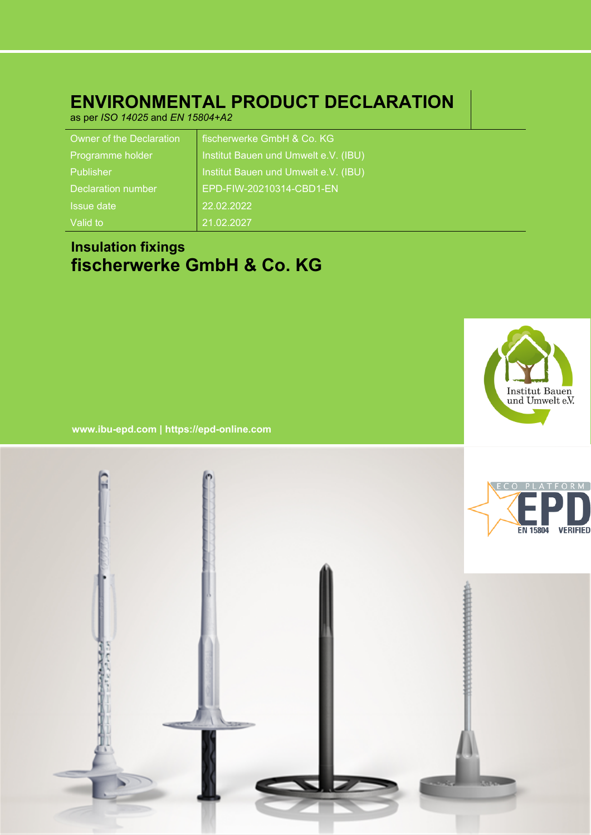# **ENVIRONMENTAL PRODUCT DECLARATION**

as per *ISO 14025* and *EN 15804+A2*

| Owner of the Declaration | fischerwerke GmbH & Co. KG           |
|--------------------------|--------------------------------------|
| Programme holder         | Institut Bauen und Umwelt e.V. (IBU) |
| Publisher                | Institut Bauen und Umwelt e.V. (IBU) |
| Declaration number       | EPD-FIW-20210314-CBD1-EN             |
| <b>Issue date</b>        | 22.02.2022                           |
| Valid to                 | 21.02.2027                           |

# **Insulation fixings fischerwerke GmbH & Co. KG**



**www.ibu-epd.com | https://epd-online.com**

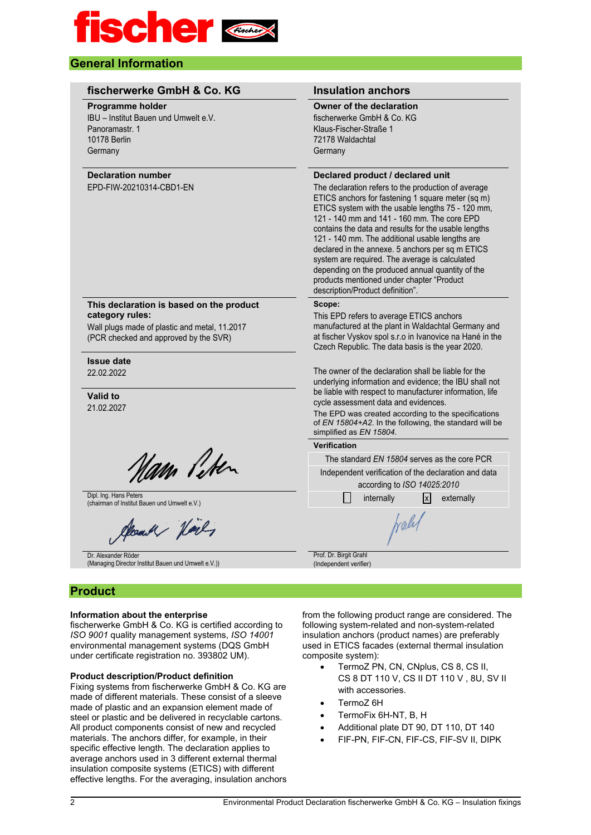

### **General Information**

| fischerwerke GmbH & Co. KG                                                                                                                            | <b>Insulation anchors</b>                                                                                                                                                                                                                                                                                                                                                                                                                                                                                                                                                                              |  |  |  |  |
|-------------------------------------------------------------------------------------------------------------------------------------------------------|--------------------------------------------------------------------------------------------------------------------------------------------------------------------------------------------------------------------------------------------------------------------------------------------------------------------------------------------------------------------------------------------------------------------------------------------------------------------------------------------------------------------------------------------------------------------------------------------------------|--|--|--|--|
| Programme holder<br>IBU - Institut Bauen und Umwelt e.V.<br>Panoramastr. 1<br><b>10178 Berlin</b><br>Germany                                          | <b>Owner of the declaration</b><br>fischerwerke GmbH & Co. KG<br>Klaus-Fischer-Straße 1<br>72178 Waldachtal<br>Germany                                                                                                                                                                                                                                                                                                                                                                                                                                                                                 |  |  |  |  |
| <b>Declaration number</b><br>EPD-FIW-20210314-CBD1-EN                                                                                                 | Declared product / declared unit<br>The declaration refers to the production of average<br>ETICS anchors for fastening 1 square meter (sq m)<br>ETICS system with the usable lengths 75 - 120 mm,<br>121 - 140 mm and 141 - 160 mm. The core EPD<br>contains the data and results for the usable lengths<br>121 - 140 mm. The additional usable lengths are<br>declared in the annexe. 5 anchors per sq m ETICS<br>system are required. The average is calculated<br>depending on the produced annual quantity of the<br>products mentioned under chapter "Product<br>description/Product definition". |  |  |  |  |
| This declaration is based on the product<br>category rules:<br>Wall plugs made of plastic and metal, 11.2017<br>(PCR checked and approved by the SVR) | Scope:<br>This EPD refers to average ETICS anchors<br>manufactured at the plant in Waldachtal Germany and<br>at fischer Vyskov spol s.r.o in Ivanovice na Hané in the<br>Czech Republic. The data basis is the year 2020.                                                                                                                                                                                                                                                                                                                                                                              |  |  |  |  |
| <b>Issue date</b><br>22.02.2022<br><b>Valid to</b><br>21.02.2027                                                                                      | The owner of the declaration shall be liable for the<br>underlying information and evidence; the IBU shall not<br>be liable with respect to manufacturer information, life<br>cycle assessment data and evidences.<br>The EPD was created according to the specifications<br>of EN 15804+A2. In the following, the standard will be<br>simplified as EN 15804.                                                                                                                                                                                                                                         |  |  |  |  |
|                                                                                                                                                       | <b>Verification</b>                                                                                                                                                                                                                                                                                                                                                                                                                                                                                                                                                                                    |  |  |  |  |
| Nam Peter                                                                                                                                             | The standard EN 15804 serves as the core PCR                                                                                                                                                                                                                                                                                                                                                                                                                                                                                                                                                           |  |  |  |  |
|                                                                                                                                                       | Independent verification of the declaration and data<br>according to ISO 14025:2010                                                                                                                                                                                                                                                                                                                                                                                                                                                                                                                    |  |  |  |  |
| Dipl. Ing. Hans Peters<br>(chairman of Institut Bauen und Umwelt e.V.)                                                                                | internally<br>$\mathsf{x}$<br>externally<br>i i                                                                                                                                                                                                                                                                                                                                                                                                                                                                                                                                                        |  |  |  |  |
| Steam of Hock,                                                                                                                                        | traly                                                                                                                                                                                                                                                                                                                                                                                                                                                                                                                                                                                                  |  |  |  |  |
| Dr. Alexander Röder<br>(Managing Director Institut Bauen und Umwelt e.V.))                                                                            | Prof. Dr. Birgit Grahl<br>(Independent verifier)                                                                                                                                                                                                                                                                                                                                                                                                                                                                                                                                                       |  |  |  |  |

#### **Information about the enterprise**

fischerwerke GmbH & Co. KG is certified according to *ISO 9001* quality management systems, *ISO 14001* environmental management systems (DQS GmbH under certificate registration no. 393802 UM).

#### **Product description/Product definition**

Fixing systems from fischerwerke GmbH & Co. KG are made of different materials. These consist of a sleeve made of plastic and an expansion element made of steel or plastic and be delivered in recyclable cartons. All product components consist of new and recycled materials. The anchors differ, for example, in their specific effective length. The declaration applies to average anchors used in 3 different external thermal insulation composite systems (ETICS) with different effective lengths. For the averaging, insulation anchors from the following product range are considered. The following system-related and non-system-related insulation anchors (product names) are preferably used in ETICS facades (external thermal insulation composite system):

- TermoZ PN, CN, CNplus, CS 8, CS II, CS 8 DT 110 V, CS II DT 110 V , 8U, SV II with accessories.
- TermoZ 6H
- TermoFix 6H-NT, B, H
- Additional plate DT 90, DT 110, DT 140
- FIF-PN, FIF-CN, FIF-CS, FIF-SV II, DIPK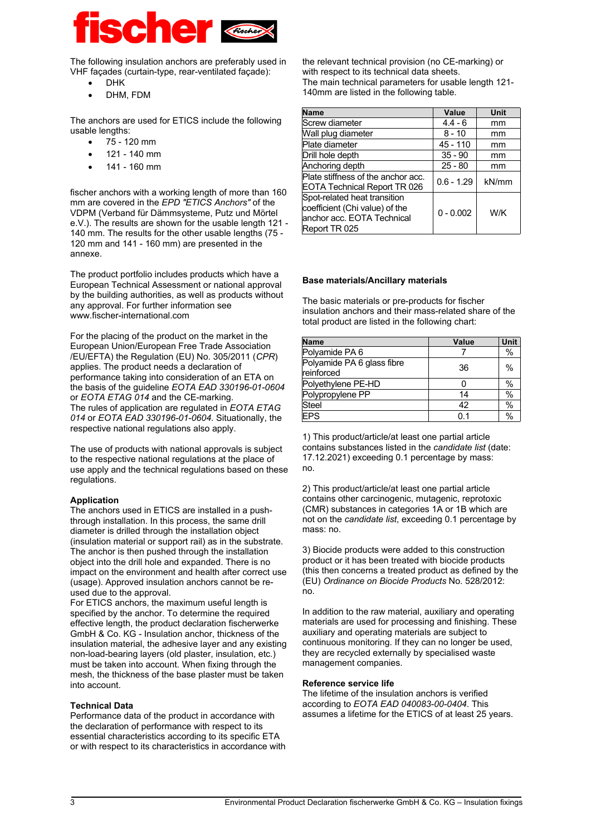

The following insulation anchors are preferably used in VHF façades (curtain-type, rear-ventilated façade):

- D<sub>HK</sub>
- DHM, FDM

The anchors are used for ETICS include the following usable lengths:

- 75 120 mm
- 121 140 mm
- 141 160 mm

fischer anchors with a working length of more than 160 mm are covered in the *EPD "ETICS Anchors"* of the VDPM (Verband für Dämmsysteme, Putz und Mörtel e.V.). The results are shown for the usable length 121 - 140 mm. The results for the other usable lengths (75 - 120 mm and 141 - 160 mm) are presented in the annexe.

The product portfolio includes products which have a European Technical Assessment or national approval by the building authorities, as well as products without any approval. For further information see www.fischer-international.com

For the placing of the product on the market in the European Union/European Free Trade Association /EU/EFTA) the Regulation (EU) No. 305/2011 (*CPR*) applies. The product needs a declaration of performance taking into consideration of an ETA on the basis of the guideline *EOTA EAD 330196-01-0604* or *EOTA ETAG 014* and the CE-marking. The rules of application are regulated in *EOTA ETAG 014* or *EOTA EAD 330196-01-0604*. Situationally, the respective national regulations also apply.

The use of products with national approvals is subject to the respective national regulations at the place of use apply and the technical regulations based on these regulations.

#### **Application**

The anchors used in ETICS are installed in a pushthrough installation. In this process, the same drill diameter is drilled through the installation object (insulation material or support rail) as in the substrate. The anchor is then pushed through the installation object into the drill hole and expanded. There is no impact on the environment and health after correct use (usage). Approved insulation anchors cannot be reused due to the approval.

For ETICS anchors, the maximum useful length is specified by the anchor. To determine the required effective length, the product declaration fischerwerke GmbH & Co. KG - Insulation anchor, thickness of the insulation material, the adhesive layer and any existing non-load-bearing layers (old plaster, insulation, etc.) must be taken into account. When fixing through the mesh, the thickness of the base plaster must be taken into account.

#### **Technical Data**

Performance data of the product in accordance with the declaration of performance with respect to its essential characteristics according to its specific ETA or with respect to its characteristics in accordance with

the relevant technical provision (no CE-marking) or with respect to its technical data sheets. The main technical parameters for usable length 121- 140mm are listed in the following table.

| <b>Name</b>                                                                                                   | Value        | Unit  |
|---------------------------------------------------------------------------------------------------------------|--------------|-------|
| Screw diameter                                                                                                | $4.4 - 6$    | mm    |
| Wall plug diameter                                                                                            | $8 - 10$     | mm    |
| Plate diameter                                                                                                | 45 - 110     | mm    |
| Drill hole depth                                                                                              | $35 - 90$    | mm    |
| Anchoring depth                                                                                               | $25 - 80$    | mm    |
| Plate stiffness of the anchor acc.<br><b>EOTA Technical Report TR 026</b>                                     | $0.6 - 1.29$ | kN/mm |
| Spot-related heat transition<br>coefficient (Chi value) of the<br>anchor acc. EOTA Technical<br>Report TR 025 | $0 - 0.002$  | W/K   |

#### **Base materials/Ancillary materials**

The basic materials or pre-products for fischer insulation anchors and their mass-related share of the total product are listed in the following chart:

| <b>Name</b>                              | <b>Value</b> | <b>Unit</b> |
|------------------------------------------|--------------|-------------|
| Polyamide PA 6                           |              | $\%$        |
| Polyamide PA 6 glass fibre<br>reinforced | 36           | $\%$        |
| Polyethylene PE-HD                       |              | $\%$        |
| Polypropylene PP                         | 14           | $\%$        |
| Steel                                    | 42           | $\%$        |
| <b>EPS</b>                               | በ 1          | $\%$        |

1) This product/article/at least one partial article contains substances listed in the *candidate list* (date: 17.12.2021) exceeding 0.1 percentage by mass: no.

2) This product/article/at least one partial article contains other carcinogenic, mutagenic, reprotoxic (CMR) substances in categories 1A or 1B which are not on the *candidate list*, exceeding 0.1 percentage by mass: no.

3) Biocide products were added to this construction product or it has been treated with biocide products (this then concerns a treated product as defined by the (EU) *Ordinance on Biocide Products* No. 528/2012: no.

In addition to the raw material, auxiliary and operating materials are used for processing and finishing. These auxiliary and operating materials are subject to continuous monitoring. If they can no longer be used, they are recycled externally by specialised waste management companies.

#### **Reference service life**

The lifetime of the insulation anchors is verified according to *EOTA EAD 040083-00-0404*. This assumes a lifetime for the ETICS of at least 25 years.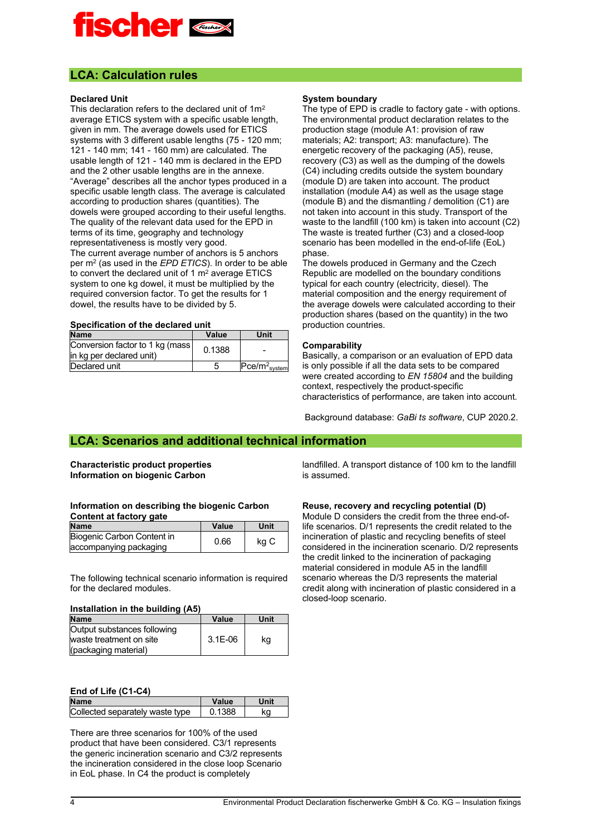

#### **LCA: Calculation rules**

#### **Declared Unit**

This declaration refers to the declared unit of 1m<sup>2</sup> average ETICS system with a specific usable length, given in mm. The average dowels used for ETICS systems with 3 different usable lengths (75 - 120 mm; 121 - 140 mm; 141 - 160 mm) are calculated. The usable length of 121 - 140 mm is declared in the EPD and the 2 other usable lengths are in the annexe. "Average" describes all the anchor types produced in a specific usable length class. The average is calculated according to production shares (quantities). The dowels were grouped according to their useful lengths. The quality of the relevant data used for the EPD in terms of its time, geography and technology representativeness is mostly very good. The current average number of anchors is 5 anchors per m<sup>2</sup> (as used in the *EPD ETICS*). In order to be able to convert the declared unit of 1 m<sup>2</sup> average ETICS system to one kg dowel, it must be multiplied by the required conversion factor. To get the results for 1 dowel, the results have to be divided by 5.

#### **Specification of the declared unit**

| <u>UDUUIIIVALIVII UI LIIV MUUIMIVA MIIIL</u>                 |        |                             |  |  |  |  |
|--------------------------------------------------------------|--------|-----------------------------|--|--|--|--|
| <b>Name</b>                                                  | Value  | Unit                        |  |  |  |  |
| Conversion factor to 1 kg (mass)<br>in kg per declared unit) | 0.1388 |                             |  |  |  |  |
| Declared unit                                                | ۰.     | $ Pce/m2$ <sub>system</sub> |  |  |  |  |

#### **System boundary**

The type of EPD is cradle to factory gate - with options. The environmental product declaration relates to the production stage (module A1: provision of raw materials; A2: transport; A3: manufacture). The energetic recovery of the packaging (A5), reuse, recovery (C3) as well as the dumping of the dowels (C4) including credits outside the system boundary (module D) are taken into account. The product installation (module A4) as well as the usage stage (module B) and the dismantling / demolition (C1) are not taken into account in this study. Transport of the waste to the landfill (100 km) is taken into account (C2) The waste is treated further (C3) and a closed-loop scenario has been modelled in the end-of-life (EoL) phase.

The dowels produced in Germany and the Czech Republic are modelled on the boundary conditions typical for each country (electricity, diesel). The material composition and the energy requirement of the average dowels were calculated according to their production shares (based on the quantity) in the two production countries.

#### **Comparability**

Basically, a comparison or an evaluation of EPD data is only possible if all the data sets to be compared were created according to *EN 15804* and the building context, respectively the product-specific characteristics of performance, are taken into account.

Background database: *GaBi ts software*, CUP 2020.2.

#### **LCA: Scenarios and additional technical information**

#### **Characteristic product properties Information on biogenic Carbon**

#### **Information on describing the biogenic Carbon Content at factory gate**

| <b>Name</b>                | Value | Unit |
|----------------------------|-------|------|
| Biogenic Carbon Content in | 0.66  |      |
| accompanying packaging     |       | kg C |

The following technical scenario information is required for the declared modules.

#### **Installation in the building (A5)**

| <b>Name</b>                 | Value     | Unit |
|-----------------------------|-----------|------|
| Output substances following |           |      |
| waste treatment on site     | $3.1E-06$ | kq   |
| (packaging material)        |           |      |

#### **End of Life (C1-C4)**

| <b>Name</b>                     | Value  |  |
|---------------------------------|--------|--|
| Collected separately waste type | 0.1388 |  |

There are three scenarios for 100% of the used product that have been considered. C3/1 represents the generic incineration scenario and C3/2 represents the incineration considered in the close loop Scenario in EoL phase. In C4 the product is completely

landfilled. A transport distance of 100 km to the landfill is assumed.

#### **Reuse, recovery and recycling potential (D)**

Module D considers the credit from the three end-oflife scenarios. D/1 represents the credit related to the incineration of plastic and recycling benefits of steel considered in the incineration scenario. D/2 represents the credit linked to the incineration of packaging material considered in module A5 in the landfill scenario whereas the D/3 represents the material credit along with incineration of plastic considered in a closed-loop scenario.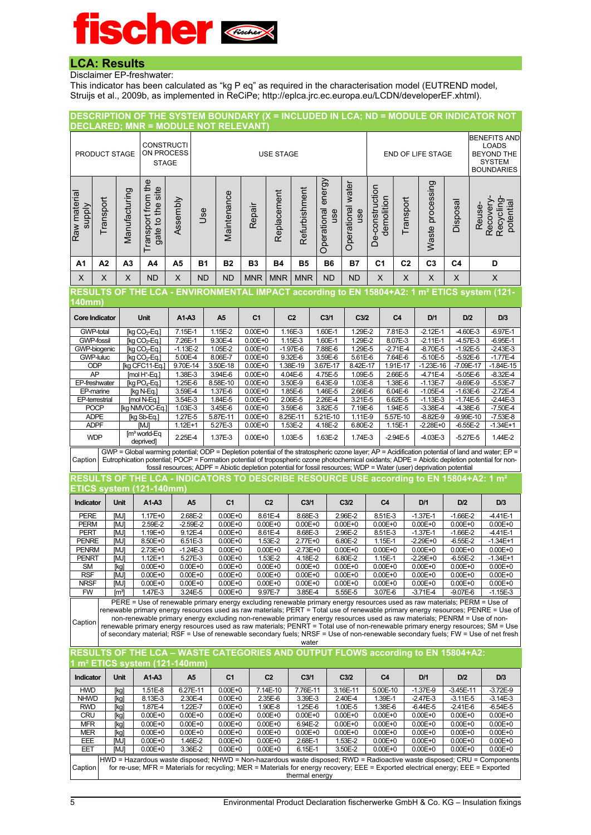## **LCA: Results**

Disclaimer EP-freshwater:

This indicator has been calculated as "kg P eq" as required in the characterisation model (EUTREND model, Struijs et al., 2009b, as implemented in ReCiPe; http://eplca.jrc.ec.europa.eu/LCDN/developerEF.xhtml).

|                              | DESCRIPTION OF THE SYSTEM BOUNDARY (X = INCLUDED IN LCA; ND = MODULE OR INDICATOR NOT<br><b>DECLARED; MNR = MODULE NOT RELEVANT)</b> |                           |                                                                                  |                       |                            |                                                                                                                     |                            |                            |                                                                                                                                        |                    |                            |                            |                           |                              |                              |                                                                                                                                                                                                                                                             |                              |
|------------------------------|--------------------------------------------------------------------------------------------------------------------------------------|---------------------------|----------------------------------------------------------------------------------|-----------------------|----------------------------|---------------------------------------------------------------------------------------------------------------------|----------------------------|----------------------------|----------------------------------------------------------------------------------------------------------------------------------------|--------------------|----------------------------|----------------------------|---------------------------|------------------------------|------------------------------|-------------------------------------------------------------------------------------------------------------------------------------------------------------------------------------------------------------------------------------------------------------|------------------------------|
|                              |                                                                                                                                      |                           |                                                                                  |                       | <b>BENEFITS AND</b>        |                                                                                                                     |                            |                            |                                                                                                                                        |                    |                            |                            |                           |                              |                              |                                                                                                                                                                                                                                                             |                              |
|                              |                                                                                                                                      |                           | <b>CONSTRUCTI</b><br>ON PROCESS                                                  |                       |                            |                                                                                                                     |                            |                            |                                                                                                                                        |                    |                            |                            |                           |                              |                              | <b>LOADS</b>                                                                                                                                                                                                                                                |                              |
|                              | PRODUCT STAGE                                                                                                                        |                           | <b>STAGE</b>                                                                     |                       |                            |                                                                                                                     |                            | <b>USE STAGE</b>           |                                                                                                                                        |                    |                            |                            |                           | END OF LIFE STAGE            |                              | <b>BEYOND THE</b><br><b>SYSTEM</b>                                                                                                                                                                                                                          |                              |
|                              |                                                                                                                                      |                           |                                                                                  |                       |                            |                                                                                                                     |                            |                            |                                                                                                                                        |                    |                            |                            |                           |                              |                              | <b>BOUNDARIES</b>                                                                                                                                                                                                                                           |                              |
|                              |                                                                                                                                      |                           |                                                                                  |                       |                            |                                                                                                                     |                            |                            |                                                                                                                                        |                    |                            |                            |                           |                              |                              |                                                                                                                                                                                                                                                             |                              |
|                              |                                                                                                                                      | Manufacturing             | Transport from the<br>gate to the site                                           |                       |                            |                                                                                                                     |                            | Replacement                | Refurbishment                                                                                                                          | energy             | Operational water          | De-construction            |                           | Waste processing             |                              |                                                                                                                                                                                                                                                             |                              |
| Raw material                 | Transport                                                                                                                            |                           |                                                                                  | Assembly              |                            | Maintenance                                                                                                         |                            |                            |                                                                                                                                        |                    |                            | demolition                 | Transport                 |                              | Disposal                     | Recovery-<br>Recycling                                                                                                                                                                                                                                      | potential                    |
| <b>Alddns</b>                |                                                                                                                                      |                           |                                                                                  |                       | <b>Jse</b>                 |                                                                                                                     | Repair                     |                            |                                                                                                                                        | use                | use                        |                            |                           |                              |                              | Reuse-                                                                                                                                                                                                                                                      |                              |
|                              |                                                                                                                                      |                           |                                                                                  |                       |                            |                                                                                                                     |                            |                            |                                                                                                                                        |                    |                            |                            |                           |                              |                              |                                                                                                                                                                                                                                                             |                              |
|                              |                                                                                                                                      |                           |                                                                                  |                       |                            |                                                                                                                     |                            |                            |                                                                                                                                        | Operational        |                            |                            |                           |                              |                              |                                                                                                                                                                                                                                                             |                              |
|                              |                                                                                                                                      |                           |                                                                                  |                       |                            |                                                                                                                     |                            |                            |                                                                                                                                        |                    |                            |                            |                           |                              |                              |                                                                                                                                                                                                                                                             |                              |
| A1                           | A2                                                                                                                                   | A <sub>3</sub>            | A4                                                                               | A5                    | <b>B1</b>                  | <b>B2</b>                                                                                                           | <b>B3</b>                  | <b>B4</b>                  | <b>B5</b>                                                                                                                              | <b>B6</b>          | <b>B7</b>                  | C <sub>1</sub>             | C <sub>2</sub>            | C <sub>3</sub>               | C4                           | D                                                                                                                                                                                                                                                           |                              |
| X                            | $\mathsf{X}$                                                                                                                         | $\boldsymbol{\mathsf{X}}$ | <b>ND</b>                                                                        | $\times$              | <b>ND</b>                  | <b>ND</b>                                                                                                           | <b>MNR</b>                 | <b>MNR</b>                 | <b>MNR</b>                                                                                                                             | <b>ND</b>          | <b>ND</b>                  | $\times$                   | $\boldsymbol{\mathsf{X}}$ | $\sf X$                      | X                            | X                                                                                                                                                                                                                                                           |                              |
|                              |                                                                                                                                      |                           |                                                                                  |                       |                            |                                                                                                                     |                            |                            |                                                                                                                                        |                    |                            |                            |                           |                              |                              | RESULTS OF THE LCA - ENVIRONMENTAL IMPACT according to EN 15804+A2: 1 m <sup>2</sup> ETICS system (121-                                                                                                                                                     |                              |
| $ 40$ mm $\rangle$           |                                                                                                                                      |                           |                                                                                  |                       |                            |                                                                                                                     |                            |                            |                                                                                                                                        |                    |                            |                            |                           |                              |                              |                                                                                                                                                                                                                                                             |                              |
|                              | <b>Core Indicator</b>                                                                                                                |                           | <b>Unit</b>                                                                      | A1-A3                 |                            | A <sub>5</sub>                                                                                                      | C <sub>1</sub>             |                            | C <sub>2</sub>                                                                                                                         | C <sub>3/1</sub>   | C3/2                       |                            | C <sub>4</sub>            | D/1                          | D/2                          |                                                                                                                                                                                                                                                             | D/3                          |
|                              | GWP-total                                                                                                                            |                           | Rg CO <sub>2</sub> -Eq.                                                          | 7.15E-1               |                            | 1.15E-2                                                                                                             | $0.00E + 0$                |                            | 1.16E-3                                                                                                                                | 1.60E-1            | 1.29E-2                    |                            | 7.81E-3                   | $-2.12E-1$                   | $-4.60E-3$                   |                                                                                                                                                                                                                                                             | $-6.97E-1$                   |
| <b>GWP-fossil</b>            |                                                                                                                                      |                           | [kg CO <sub>2</sub> -Eq.]                                                        | 7.26E-1               |                            | 9.30E-4                                                                                                             | $0.00E + 0$                |                            | 1.15E-3                                                                                                                                | 1.60E-1            | 1.29E-2                    |                            | 8.07E-3                   | $-2.11E-1$                   | $-4.57E-3$                   |                                                                                                                                                                                                                                                             | $-6.95E-1$                   |
|                              | GWP-biogenic<br><b>GWP-luluc</b>                                                                                                     |                           | [kg CO <sub>2</sub> -Eq.]<br>$\overline{[kg CO_{2}$ -Eq.]                        | $-1.13E-2$<br>5.00E-4 |                            | 1.05E-2<br>8.06E-7                                                                                                  | $0.00E + 0$<br>$0.00E + 0$ |                            | $-1.97E-6$<br>9.32E-6                                                                                                                  | 7.88E-6<br>3.59E-6 | 1.29E-5<br>5.61E-6         |                            | $-2.71E-4$<br>7.64E-6     | $-8.70E - 5$<br>$-5.10E - 5$ | $-1.92E - 5$<br>$-5.92E - 6$ |                                                                                                                                                                                                                                                             | $-2.43E-3$<br>$-1.77E-4$     |
| ODP                          |                                                                                                                                      |                           | [kg CFC11-Eq.]                                                                   | 9.70E-14              |                            | 3.50E-18                                                                                                            | $0.00E + 0$                |                            | 1.38E-19                                                                                                                               | 3.67E-17           | 8.42E-17                   |                            | 1.91E-17                  | $-1.23E-16$                  | $-7.09E - 17$                |                                                                                                                                                                                                                                                             | $-1.84E-15$                  |
| AP                           |                                                                                                                                      |                           | [mol H <sup>+</sup> -Eq.]                                                        | 1.38E-3               |                            | 3.94E-6                                                                                                             | $0.00E + 0$                |                            | 4.04E-6                                                                                                                                | 4.75E-5            | 1.09E-5                    |                            | 2.66E-5                   | $-4.71E-4$                   | $-5.05E - 6$                 |                                                                                                                                                                                                                                                             | $-8.32E - 4$                 |
| EP-marine                    | EP-freshwater                                                                                                                        |                           | [kg PO <sub>4</sub> -Eq.]                                                        | 1.25E-6<br>3.59E-4    |                            | 8.58E-10<br>1.37E-6                                                                                                 | $0.00E + 0$<br>$0.00E + 0$ |                            | 3.50E-9<br>1.85E-6                                                                                                                     | 6.43E-9<br>1.46E-5 | 1.03E-8<br>2.66E-6         |                            | 1.38E-6<br>6.04E-6        | $-1.13E - 7$<br>$-1.05E - 4$ | $-9.69E-9$<br>$-1.63E-6$     |                                                                                                                                                                                                                                                             | $-5.53E - 7$<br>$-2.72E - 4$ |
|                              | EP-terrestrial                                                                                                                       |                           | [kg N-Eq.]<br>[mol N-Eq.]                                                        | 3.54E-3               |                            | 1.84E-5                                                                                                             | $0.00E + 0$                |                            | 2.06E-5                                                                                                                                | 2.26E-4            | 3.21E-5                    |                            | 6.62E-5                   | $-1.13E-3$                   | $-1.74E-5$                   |                                                                                                                                                                                                                                                             | $-2.44E-3$                   |
| <b>POCP</b>                  |                                                                                                                                      |                           | [kg NMVOC-Eq.]                                                                   | 1.03E-3               |                            | 3.45E-6                                                                                                             | $0.00E + 0$                |                            | 3.59E-6                                                                                                                                | 3.82E-5            | 7.19E-6                    |                            | 1.94E-5                   | $-3.38E - 4$                 | $-4.38E - 6$                 |                                                                                                                                                                                                                                                             | $-7.50E - 4$                 |
| <b>ADPE</b>                  |                                                                                                                                      |                           | [kg Sb-Eq.]                                                                      | 1.27E-5               |                            | 5.87E-11                                                                                                            | $0.00E + 0$                |                            | 8.25E-11                                                                                                                               | 5.21E-10           | 1.11E-9                    |                            | 5.57E-10                  | $-8.82E-9$                   | $-9.99E - 10$                |                                                                                                                                                                                                                                                             | $-7.53E-8$                   |
| <b>ADPF</b>                  |                                                                                                                                      |                           | [MJ]<br>$[m3$ world-Eq                                                           | $1.12E + 1$           |                            | 5.27E-3                                                                                                             | $0.00E + 0$                |                            | 1.53E-2                                                                                                                                | 4.18E-2            | 6.80E-2                    |                            | 1.15E-1                   | $-2.28E + 0$                 | $-6.55E - 2$                 |                                                                                                                                                                                                                                                             | $-1.34E+1$                   |
| <b>WDP</b>                   |                                                                                                                                      |                           | deprived]                                                                        | 2.25E-4               |                            | 1.37E-3                                                                                                             | $0.00E + 0$                |                            | 1.03E-5                                                                                                                                | 1.63E-2            | 1.74E-3                    |                            | $-2.94E-5$                | $-4.03E-3$                   | $-5.27E - 5$                 |                                                                                                                                                                                                                                                             | 1.44E-2                      |
|                              |                                                                                                                                      |                           |                                                                                  |                       |                            |                                                                                                                     |                            |                            |                                                                                                                                        |                    |                            |                            |                           |                              |                              | GWP = Global warming potential; ODP = Depletion potential of the stratospheric ozone layer; AP = Acidification potential of land and water; EP =                                                                                                            |                              |
| Caption                      |                                                                                                                                      |                           |                                                                                  |                       |                            | fossil resources; ADPF = Abiotic depletion potential for fossil resources; WDP = Water (user) deprivation potential |                            |                            |                                                                                                                                        |                    |                            |                            |                           |                              |                              | Eutrophication potential; POCP = Formation potential of tropospheric ozone photochemical oxidants; ADPE = Abiotic depletion potential for non-                                                                                                              |                              |
|                              |                                                                                                                                      |                           |                                                                                  |                       |                            |                                                                                                                     |                            |                            |                                                                                                                                        |                    |                            |                            |                           |                              |                              |                                                                                                                                                                                                                                                             |                              |
|                              |                                                                                                                                      |                           |                                                                                  |                       |                            |                                                                                                                     |                            |                            | RESULTS OF THE LCA - INDICATORS TO DESCRIBE RESOURCE USE according to EN 15804+A2: 1 m <sup>2</sup><br><b>ETICS system (121-140mm)</b> |                    |                            |                            |                           |                              |                              |                                                                                                                                                                                                                                                             |                              |
|                              |                                                                                                                                      | Unit                      |                                                                                  |                       |                            |                                                                                                                     |                            |                            |                                                                                                                                        |                    |                            |                            |                           |                              |                              |                                                                                                                                                                                                                                                             |                              |
| Indicator                    |                                                                                                                                      |                           | A1-A3                                                                            |                       | A <sub>5</sub>             | C <sub>1</sub>                                                                                                      |                            | C <sub>2</sub>             | C <sub>3/1</sub>                                                                                                                       |                    | C3/2                       | C <sub>4</sub>             |                           | D/1                          | D/2                          |                                                                                                                                                                                                                                                             | D/3                          |
| <b>PERE</b>                  |                                                                                                                                      | [MJ]                      | $1.17E + 0$                                                                      |                       | 2.68E-2                    | $0.00E + 0$                                                                                                         |                            | 8.61E-4                    | 8.68E-3                                                                                                                                |                    | 2.96E-2                    | 8.51E-3                    |                           | $-1.37E-1$                   | $-1.66E - 2$                 | $-4.41E-1$                                                                                                                                                                                                                                                  |                              |
| <b>PERM</b>                  |                                                                                                                                      | [MJ]                      | 2.59E-2                                                                          |                       | $-2.59E - 2$               | $0.00E + 0$                                                                                                         |                            | $0.00E + 0$                | $0.00E + 0$                                                                                                                            |                    | $0.00E + 0$                | $0.00E + 0$                |                           | $0.00E + 0$                  | $0.00E + 0$                  | $0.00E + 0$                                                                                                                                                                                                                                                 |                              |
| <b>PERT</b>                  |                                                                                                                                      | [MJ]                      | 1.19E+0                                                                          |                       | 9.12E-4                    | $0.00E + 0$                                                                                                         |                            | 8.61E-4                    | 8.68E-3                                                                                                                                |                    | 2.96E-2                    | 8.51E-3                    |                           | $-1.37E-1$                   | $-1.66E - 2$                 | $-4.41E-1$                                                                                                                                                                                                                                                  |                              |
| <b>PENRE</b><br><b>PENRM</b> |                                                                                                                                      | [MJ]<br>[MJ]              | 8.50E+0<br>$2.73E + 0$                                                           |                       | 6.51E-3<br>$-1.24E-3$      | $0.00E + 0$<br>$0.00E + 0$                                                                                          |                            | 1.53E-2<br>$0.00E + 0$     | 2.77E+0<br>$-2.73E + 0$                                                                                                                |                    | 6.80E-2<br>$0.00E + 0$     | 1.15E-1<br>$0.00E + 0$     |                           | $-2.29E + 0$<br>$0.00E + 0$  | $-6.55E - 2$<br>$0.00E + 0$  | $-1.34E+1$<br>$0.00E + 0$                                                                                                                                                                                                                                   |                              |
| <b>PENRT</b>                 |                                                                                                                                      | [MJ]                      | $1.12E+1$                                                                        |                       | 5.27E-3                    | $0.00E + 0$                                                                                                         |                            | 1.53E-2                    | 4.18E-2                                                                                                                                |                    | $6.80E - 2$                | $1.15E-1$                  |                           | $-2.29E + 0$                 | $-6.55E-2$                   | $-1.34E+1$                                                                                                                                                                                                                                                  |                              |
| SM                           |                                                                                                                                      | [kg]                      | $0.00E + 0$                                                                      |                       | $0.00E + 0$                | $0.00E + 0$                                                                                                         |                            | $0.00E + 0$                | $0.00E + 0$                                                                                                                            |                    | $0.00E + 0$                | $0.00E + 0$                |                           | $0.00E + 0$                  | $0.00E + 0$                  | $0.00E + 0$                                                                                                                                                                                                                                                 |                              |
| <b>RSF</b><br><b>NRSF</b>    |                                                                                                                                      | [MJ]<br>[MJ]              | $0.00E + 0$<br>$0.00E + 0$                                                       |                       | $0.00E + 0$<br>$0.00E + 0$ | $0.00E + 0$<br>$0.00E + 0$                                                                                          |                            | $0.00E + 0$<br>$0.00E + 0$ | $0.00E + 0$<br>$0.00E + 0$                                                                                                             |                    | $0.00E + 0$<br>$0.00E + 0$ | $0.00E + 0$<br>$0.00E + 0$ |                           | $0.00E + 0$<br>$0.00E + 0$   | $0.00E + 0$<br>$0.00E + 0$   | $0.00E + 0$<br>$0.00E + 0$                                                                                                                                                                                                                                  |                              |
| <b>FW</b>                    |                                                                                                                                      | [mª]                      | 1.47E-3                                                                          |                       | 3.24E-5                    | $0.00E + 0$                                                                                                         |                            | 9.97E-7                    | 3.85E-4                                                                                                                                |                    | 5.55E-5                    | 3.07E-6                    |                           | $-3.71E - 4$                 | $-9.07E-6$                   |                                                                                                                                                                                                                                                             | $-1.15E-3$                   |
|                              |                                                                                                                                      |                           |                                                                                  |                       |                            |                                                                                                                     |                            |                            |                                                                                                                                        |                    |                            |                            |                           |                              |                              | PERE = Use of renewable primary energy excluding renewable primary energy resources used as raw materials; PERM = Use of                                                                                                                                    |                              |
|                              |                                                                                                                                      |                           |                                                                                  |                       |                            |                                                                                                                     |                            |                            |                                                                                                                                        |                    |                            |                            |                           |                              |                              | renewable primary energy resources used as raw materials; PERT = Total use of renewable primary energy resources; PENRE = Use of                                                                                                                            |                              |
| Caption                      |                                                                                                                                      |                           |                                                                                  |                       |                            |                                                                                                                     |                            |                            |                                                                                                                                        |                    |                            |                            |                           |                              |                              | non-renewable primary energy excluding non-renewable primary energy resources used as raw materials; PENRM = Use of non-<br>renewable primary energy resources used as raw materials; PENRT = Total use of non-renewable primary energy resources; SM = Use |                              |
|                              |                                                                                                                                      |                           |                                                                                  |                       |                            |                                                                                                                     |                            |                            |                                                                                                                                        |                    |                            |                            |                           |                              |                              | of secondary material; RSF = Use of renewable secondary fuels; NRSF = Use of non-renewable secondary fuels; FW = Use of net fresh                                                                                                                           |                              |
|                              |                                                                                                                                      |                           | RESULTS OF THE LCA - WASTE CATEGORIES AND OUTPUT FLOWS according to EN 15804+A2: |                       |                            |                                                                                                                     |                            |                            | water                                                                                                                                  |                    |                            |                            |                           |                              |                              |                                                                                                                                                                                                                                                             |                              |
|                              |                                                                                                                                      |                           | 1 m² ETICS system (121-140mm)                                                    |                       |                            |                                                                                                                     |                            |                            |                                                                                                                                        |                    |                            |                            |                           |                              |                              |                                                                                                                                                                                                                                                             |                              |
| Indicator                    |                                                                                                                                      | Unit                      | A1-A3                                                                            |                       | A <sub>5</sub>             | C <sub>1</sub>                                                                                                      |                            | C <sub>2</sub>             | C <sub>3/1</sub>                                                                                                                       |                    | C <sub>3/2</sub>           | C4                         |                           | D/1                          | D/2                          |                                                                                                                                                                                                                                                             | D/3                          |
| <b>HWD</b><br><b>NHWD</b>    |                                                                                                                                      | [kg]<br>[kg]              | 1.51E-8<br>8.13E-3                                                               |                       | 6.27E-11<br>2.30E-4        | $0.00E + 0$<br>$0.00E + 0$                                                                                          |                            | 7.14E-10<br>2.35E-6        | 7.76E-11<br>3.39E-3                                                                                                                    |                    | 3.16E-11<br>2.40E-4        | 5.00E-10<br>1.39E-1        |                           | $-1.37E-9$<br>$-2.47E-3$     | $-3.45E-11$<br>$-3.11E-5$    | $-3.72E-9$<br>$-3.14E-3$                                                                                                                                                                                                                                    |                              |
| <b>RWD</b>                   |                                                                                                                                      | [kg]                      | 1.87E-4                                                                          |                       | 1.22E-7                    | $0.00E + 0$                                                                                                         |                            | 1.90E-8                    | 1.25E-6                                                                                                                                |                    | 1.00E-5                    | 1.38E-6                    |                           | $-6.44E - 5$                 | $-2.41E-6$                   | $-6.54E-5$                                                                                                                                                                                                                                                  |                              |
| <b>CRU</b>                   |                                                                                                                                      | [kg]                      | $0.00E + 0$                                                                      |                       | $0.00E + 0$                | $0.00E + 0$                                                                                                         |                            | $0.00E + 0$                | $0.00E + 0$                                                                                                                            |                    | $0.00E + 0$                | $0.00E + 0$                |                           | $0.00E + 0$                  | $0.00E + 0$                  | $0.00E + 0$                                                                                                                                                                                                                                                 |                              |
| <b>MFR</b>                   |                                                                                                                                      | [kg]                      | $0.00E + 0$                                                                      |                       | $0.00E + 0$                | $0.00E + 0$                                                                                                         |                            | $0.00E + 0$                | 6.94E-2                                                                                                                                |                    | $0.00E + 0$                | $0.00E + 0$                |                           | $0.00E + 0$                  | $0.00E + 0$                  | $0.00E + 0$                                                                                                                                                                                                                                                 |                              |
| MER<br>EEE                   |                                                                                                                                      | [kg]<br>[MJ               | $0.00E + 0$<br>$0.00E + 0$                                                       |                       | $0.00E + 0$<br>1.46E-2     | $0.00E + 0$<br>$0.00E + 0$                                                                                          |                            | $0.00E + 0$<br>$0.00E + 0$ | $0.00E + 0$<br>2.68E-1                                                                                                                 |                    | $0.00E + 0$<br>1.53E-2     | $0.00E + 0$<br>$0.00E + 0$ |                           | $0.00E + 0$<br>$0.00E + 0$   | $0.00E + 0$<br>$0.00E + 0$   | $0.00E + 0$<br>$0.00E + 0$                                                                                                                                                                                                                                  |                              |
| EET                          |                                                                                                                                      | [MJ]                      | $0.00E + 0$                                                                      |                       | 3.36E-2                    | $0.00E + 0$                                                                                                         |                            | $0.00E + 0$                | 6.15E-1                                                                                                                                |                    | 3.50E-2                    | $0.00E + 0$                |                           | $0.00E + 0$                  | $0.00E + 0$                  | $0.00E + 0$                                                                                                                                                                                                                                                 |                              |
| Caption                      |                                                                                                                                      |                           |                                                                                  |                       |                            |                                                                                                                     |                            |                            |                                                                                                                                        |                    |                            |                            |                           |                              |                              | HWD = Hazardous waste disposed; NHWD = Non-hazardous waste disposed; RWD = Radioactive waste disposed; CRU = Components<br>for re-use; MFR = Materials for recycling; MER = Materials for energy recovery; EEE = Exported electrical energy; EEE = Exported |                              |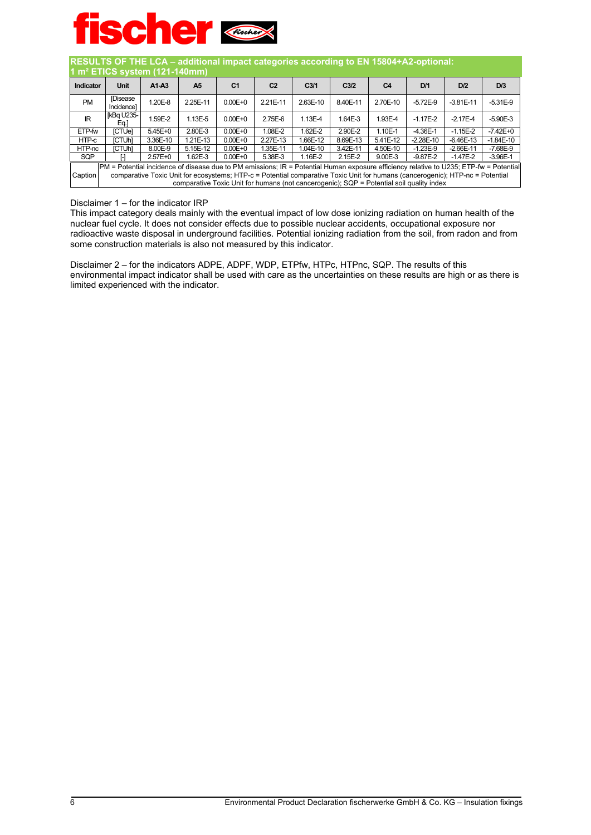

| RESULTS OF THE LCA - additional impact categories according to EN 15804+A2-optional:<br>1 m <sup>2</sup> ETICS system (121-140mm) |                                                                                                                                             |             |                                                                                          |                |                |                  |                  |                |              |                                                                                                                               |             |
|-----------------------------------------------------------------------------------------------------------------------------------|---------------------------------------------------------------------------------------------------------------------------------------------|-------------|------------------------------------------------------------------------------------------|----------------|----------------|------------------|------------------|----------------|--------------|-------------------------------------------------------------------------------------------------------------------------------|-------------|
| Indicator                                                                                                                         | Unit                                                                                                                                        | $A1-A3$     | A <sub>5</sub>                                                                           | C <sub>1</sub> | C <sub>2</sub> | C <sub>3/1</sub> | C <sub>3/2</sub> | C <sub>4</sub> | D/1          | D/2                                                                                                                           | D/3         |
| <b>PM</b>                                                                                                                         | <b>Disease</b><br>Incidencel                                                                                                                | 1.20E-8     | 2.25E-11                                                                                 | $0.00E + 0$    | 2.21E-11       | 2.63E-10         | 8.40E-11         | 2.70E-10       | $-5.72E-9$   | $-3.81E-11$                                                                                                                   | $-5.31E-9$  |
| <b>IR</b>                                                                                                                         | [kBq U235-<br>Eq.]                                                                                                                          | 1.59E-2     | $1.13E - 5$                                                                              | $0.00E + 0$    | 2.75E-6        | 1.13E-4          | 1.64E-3          | 1.93E-4        | $-1.17E-2$   | $-2.17E-4$                                                                                                                    | $-5.90E-3$  |
| ETP-fw                                                                                                                            | <b>ICTUel</b>                                                                                                                               | $5.45E + 0$ | 2.80E-3                                                                                  | $0.00E + 0$    | 1.08E-2        | 1.62E-2          | 2.90E-2          | 1.10E-1        | $-4.36E-1$   | $-1.15E-2$                                                                                                                    | $-7.42E+0$  |
| HTP-c                                                                                                                             | <b>ICTUHI</b>                                                                                                                               | 3.36E-10    | 1.21E-13                                                                                 | $0.00E + 0$    | 2.27E-13       | 1.66E-12         | 8.69E-13         | 5.41E-12       | $-2.28E-10$  | $-6.46E-13$                                                                                                                   | $-1.84E-10$ |
| HTP-nc                                                                                                                            | [CTUh]                                                                                                                                      | 8.00E-9     | 5.15E-12                                                                                 | $0.00E + 0$    | 1.35E-11       | 1.04E-10         | 3.42E-11         | 4.50E-10       | $-1.23E-9$   | $-2.66E-11$                                                                                                                   | $-7.68E-9$  |
| SQP                                                                                                                               |                                                                                                                                             | $2.57E + 0$ | 1.62E-3                                                                                  | $0.00E + 0$    | 5.38E-3        | 1.16E-2          | $2.15E-2$        | 9.00E-3        | $-9.87E - 2$ | $-1.47E-2$                                                                                                                    | $-3.96E-1$  |
|                                                                                                                                   | $ PM$ = Potential incidence of disease due to PM emissions; $IR$ = Potential Human exposure efficiency relative to U235; ETP-fw = Potential |             |                                                                                          |                |                |                  |                  |                |              |                                                                                                                               |             |
| Caption                                                                                                                           |                                                                                                                                             |             | comparative Toxic Unit for humans (not cancerogenic); SQP = Potential soil quality index |                |                |                  |                  |                |              | comparative Toxic Unit for ecosystems; HTP-c = Potential comparative Toxic Unit for humans (cancerogenic); HTP-nc = Potential |             |

#### Disclaimer 1 – for the indicator IRP

This impact category deals mainly with the eventual impact of low dose ionizing radiation on human health of the nuclear fuel cycle. It does not consider effects due to possible nuclear accidents, occupational exposure nor radioactive waste disposal in underground facilities. Potential ionizing radiation from the soil, from radon and from some construction materials is also not measured by this indicator.

Disclaimer 2 – for the indicators ADPE, ADPF, WDP, ETPfw, HTPc, HTPnc, SQP. The results of this environmental impact indicator shall be used with care as the uncertainties on these results are high or as there is limited experienced with the indicator.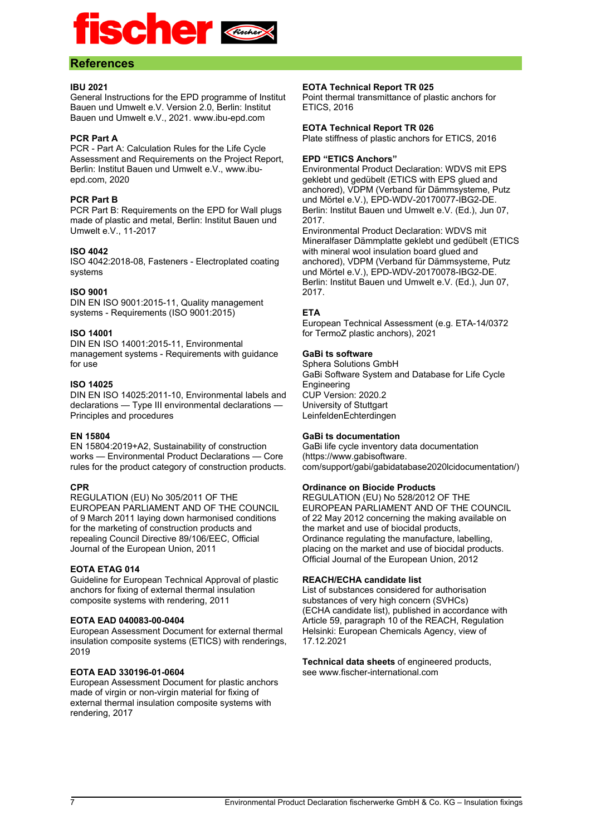

#### **References**

#### **IBU 2021**

General Instructions for the EPD programme of Institut Bauen und Umwelt e.V. Version 2.0, Berlin: Institut Bauen und Umwelt e.V., 2021. www.ibu-epd.com

#### **PCR Part A**

PCR - Part A: Calculation Rules for the Life Cycle Assessment and Requirements on the Project Report, Berlin: Institut Bauen und Umwelt e.V., www.ibuepd.com, 2020

#### **PCR Part B**

PCR Part B: Requirements on the EPD for Wall plugs made of plastic and metal, Berlin: Institut Bauen und Umwelt e.V., 11-2017

#### **ISO 4042**

ISO 4042:2018-08, Fasteners - Electroplated coating systems

#### **ISO 9001**

DIN EN ISO 9001:2015-11, Quality management systems - Requirements (ISO 9001:2015)

#### **ISO 14001**

DIN EN ISO 14001:2015-11, Environmental management systems - Requirements with guidance for use

#### **ISO 14025**

DIN EN ISO 14025:2011-10, Environmental labels and declarations — Type III environmental declarations — Principles and procedures

#### **EN 15804**

EN 15804:2019+A2, Sustainability of construction works — Environmental Product Declarations — Core rules for the product category of construction products.

#### **CPR**

REGULATION (EU) No 305/2011 OF THE EUROPEAN PARLIAMENT AND OF THE COUNCIL of 9 March 2011 laying down harmonised conditions for the marketing of construction products and repealing Council Directive 89/106/EEC, Official Journal of the European Union, 2011

#### **EOTA ETAG 014**

Guideline for European Technical Approval of plastic anchors for fixing of external thermal insulation composite systems with rendering, 2011

#### **EOTA EAD 040083-00-0404**

European Assessment Document for external thermal insulation composite systems (ETICS) with renderings, 2019

#### **EOTA EAD 330196-01-0604**

European Assessment Document for plastic anchors made of virgin or non-virgin material for fixing of external thermal insulation composite systems with rendering, 2017

#### **EOTA Technical Report TR 025**

Point thermal transmittance of plastic anchors for ETICS, 2016

#### **EOTA Technical Report TR 026**

Plate stiffness of plastic anchors for ETICS, 2016

#### **EPD "ETICS Anchors"**

Environmental Product Declaration: WDVS mit EPS geklebt und gedübelt (ETICS with EPS glued and anchored), VDPM (Verband für Dämmsysteme, Putz und Mörtel e.V.), EPD-WDV-20170077-IBG2-DE. Berlin: Institut Bauen und Umwelt e.V. (Ed.), Jun 07, 2017.

Environmental Product Declaration: WDVS mit Mineralfaser Dämmplatte geklebt und gedübelt (ETICS with mineral wool insulation board glued and anchored), VDPM (Verband für Dämmsysteme, Putz und Mörtel e.V.), EPD-WDV-20170078-IBG2-DE. Berlin: Institut Bauen und Umwelt e.V. (Ed.), Jun 07, 2017.

#### **ETA**

European Technical Assessment (e.g. ETA-14/0372 for TermoZ plastic anchors), 2021

#### **GaBi ts software**

Sphera Solutions GmbH GaBi Software System and Database for Life Cycle Engineering CUP Version: 2020.2 University of Stuttgart LeinfeldenEchterdingen

#### **GaBi ts documentation**

GaBi life cycle inventory data documentation (https://www.gabisoftware. com/support/gabi/gabidatabase2020lcidocumentation/)

#### **Ordinance on Biocide Products**

REGULATION (EU) No 528/2012 OF THE EUROPEAN PARLIAMENT AND OF THE COUNCIL of 22 May 2012 concerning the making available on the market and use of biocidal products, Ordinance regulating the manufacture, labelling, placing on the market and use of biocidal products. Official Journal of the European Union, 2012

#### **REACH/ECHA candidate list**

List of substances considered for authorisation substances of very high concern (SVHCs) (ECHA candidate list), published in accordance with Article 59, paragraph 10 of the REACH, Regulation Helsinki: European Chemicals Agency, view of 17.12.2021

**Technical data sheets** of engineered products, see www.fischer-international.com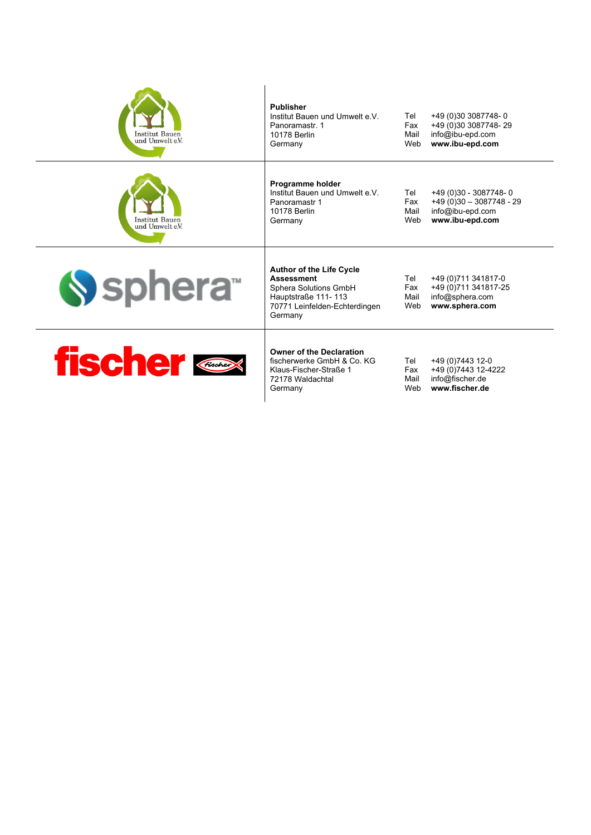| <b>Institut Bauen</b><br>und Umwelt e.V. | <b>Publisher</b><br>Institut Bauen und Umwelt e V<br>Panoramastr. 1<br>10178 Berlin<br>Germany                                                   | Tel<br>Fax<br>Mail<br>Web | +49 (0)30 3087748-0<br>+49 (0)30 3087748-29<br>info@ibu-epd.com<br>www.ibu-epd.com        |
|------------------------------------------|--------------------------------------------------------------------------------------------------------------------------------------------------|---------------------------|-------------------------------------------------------------------------------------------|
| Institut Bauen<br>und Umwelt e.V.        | Programme holder<br>Institut Bauen und Umwelt e V<br>Panoramastr 1<br>10178 Berlin<br>Germany                                                    | Tel<br>Fax<br>Mail<br>Web | +49 (0)30 - 3087748-0<br>$+49(0)30 - 3087748 - 29$<br>info@ibu-epd.com<br>www.ibu-epd.com |
| Sphera <sup>®</sup>                      | <b>Author of the Life Cycle</b><br><b>Assessment</b><br>Sphera Solutions GmbH<br>Hauptstraße 111-113<br>70771 Leinfelden-Echterdingen<br>Germany | Tel<br>Fax<br>Mail<br>Web | +49 (0) 711 341817-0<br>+49 (0) 711 341817-25<br>info@sphera.com<br>www.sphera.com        |
| <b>fischer</b>                           | <b>Owner of the Declaration</b><br>fischerwerke GmbH & Co. KG<br>Klaus-Fischer-Straße 1<br>72178 Waldachtal<br>Germany                           | Tel<br>Fax<br>Mail<br>Web | +49 (0) 7443 12-0<br>+49 (0) 7443 12-4222<br>info@fischer.de<br>www.fischer.de            |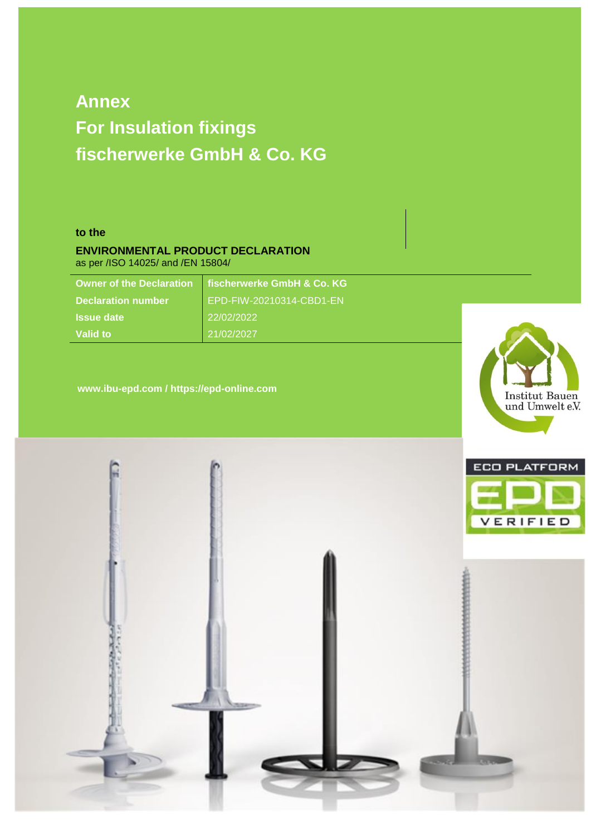# **Annex For Insulation fixings fischerwerke GmbH & Co. KG**

#### **to the**

#### **ENVIRONMENTAL PRODUCT DECLARATION** as per /ISO 14025/ and /EN 15804/

**Owner of the Declaration fischerwerke GmbH & Co. KG Issue date** 22/02/2022 **Valid to** 21/02/2027

**Declaration number** EPD-FIW-20210314-CBD1-EN

**www.ibu-epd.com / https://epd-online.com**



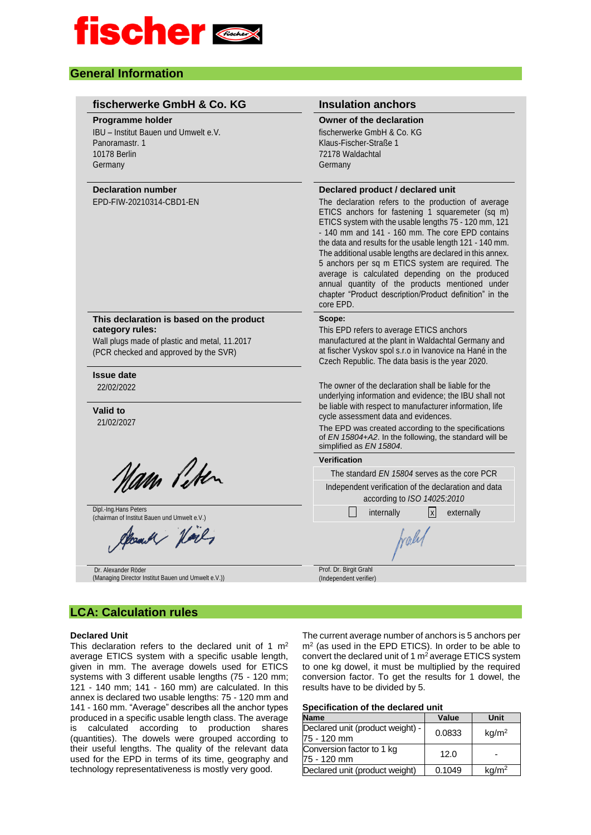

#### **General Information**

| fischerwerke GmbH & Co. KG                                                                                                                            | <b>Insulation anchors</b>                                                                                                                                                                                                                                                                                                                                                                                                                                                                                                                                                                                            |
|-------------------------------------------------------------------------------------------------------------------------------------------------------|----------------------------------------------------------------------------------------------------------------------------------------------------------------------------------------------------------------------------------------------------------------------------------------------------------------------------------------------------------------------------------------------------------------------------------------------------------------------------------------------------------------------------------------------------------------------------------------------------------------------|
| <b>Programme holder</b><br>IBU - Institut Bauen und Umwelt e.V.<br>Panoramastr, 1<br><b>10178 Berlin</b><br>Germany                                   | Owner of the declaration<br>fischerwerke GmbH & Co. KG<br>Klaus-Fischer-Straße 1<br>72178 Waldachtal<br>Germany                                                                                                                                                                                                                                                                                                                                                                                                                                                                                                      |
| <b>Declaration number</b><br>EPD-FIW-20210314-CBD1-EN                                                                                                 | Declared product / declared unit<br>The declaration refers to the production of average<br>ETICS anchors for fastening 1 squaremeter (sq m)<br>ETICS system with the usable lengths 75 - 120 mm, 121<br>- 140 mm and 141 - 160 mm. The core EPD contains<br>the data and results for the usable length 121 - 140 mm.<br>The additional usable lengths are declared in this annex.<br>5 anchors per sq m ETICS system are required. The<br>average is calculated depending on the produced<br>annual quantity of the products mentioned under<br>chapter "Product description/Product definition" in the<br>core EPD. |
| This declaration is based on the product<br>category rules:<br>Wall plugs made of plastic and metal, 11.2017<br>(PCR checked and approved by the SVR) | Scope:<br>This EPD refers to average ETICS anchors<br>manufactured at the plant in Waldachtal Germany and<br>at fischer Vyskov spol s.r.o in Ivanovice na Hané in the<br>Czech Republic. The data basis is the year 2020.                                                                                                                                                                                                                                                                                                                                                                                            |
| <b>Issue date</b><br>22/02/2022<br>Valid to<br>21/02/2027                                                                                             | The owner of the declaration shall be liable for the<br>underlying information and evidence; the IBU shall not<br>be liable with respect to manufacturer information, life<br>cycle assessment data and evidences.<br>The EPD was created according to the specifications<br>of EN 15804+A2. In the following, the standard will be<br>simplified as EN 15804.                                                                                                                                                                                                                                                       |
|                                                                                                                                                       | Verification                                                                                                                                                                                                                                                                                                                                                                                                                                                                                                                                                                                                         |
| Nam Peter                                                                                                                                             | The standard EN 15804 serves as the core PCR                                                                                                                                                                                                                                                                                                                                                                                                                                                                                                                                                                         |
|                                                                                                                                                       | Independent verification of the declaration and data<br>according to ISO 14025:2010                                                                                                                                                                                                                                                                                                                                                                                                                                                                                                                                  |
| Dipl. Ing Hans Peters<br>(chairman of Institut Bauen und Umwelt e.V.)                                                                                 | x <br>internally<br>externally                                                                                                                                                                                                                                                                                                                                                                                                                                                                                                                                                                                       |
| Alcount Vil,                                                                                                                                          | traly                                                                                                                                                                                                                                                                                                                                                                                                                                                                                                                                                                                                                |
| Dr. Alexander Röder<br>(Managing Director Institut Bauen und Umwelt e.V.))                                                                            | Prof. Dr. Birgit Grahl<br>(Independent verifier)                                                                                                                                                                                                                                                                                                                                                                                                                                                                                                                                                                     |

## **LCA: Calculation rules**

#### **Declared Unit**

This declaration refers to the declared unit of 1  $m<sup>2</sup>$ average ETICS system with a specific usable length, given in mm. The average dowels used for ETICS systems with 3 different usable lengths (75 - 120 mm; 121 - 140 mm; 141 - 160 mm) are calculated. In this annex is declared two usable lengths: 75 - 120 mm and 141 - 160 mm. "Average" describes all the anchor types produced in a specific usable length class. The average is calculated according to production shares (quantities). The dowels were grouped according to their useful lengths. The quality of the relevant data used for the EPD in terms of its time, geography and technology representativeness is mostly very good.

The current average number of anchors is 5 anchors per m<sup>2</sup> (as used in the EPD ETICS). In order to be able to convert the declared unit of 1 m<sup>2</sup> average ETICS system to one kg dowel, it must be multiplied by the required conversion factor. To get the results for 1 dowel, the results have to be divided by 5.

#### **Specification of the declared unit**

| <b>Name</b>                                     | Value  | Unit              |
|-------------------------------------------------|--------|-------------------|
| Declared unit (product weight) -<br>75 - 120 mm | 0.0833 | kg/m <sup>2</sup> |
| Conversion factor to 1 kg<br>75 - 120 mm        | 12.0   |                   |
| Declared unit (product weight)                  | 0.1049 | kg/m <sup>2</sup> |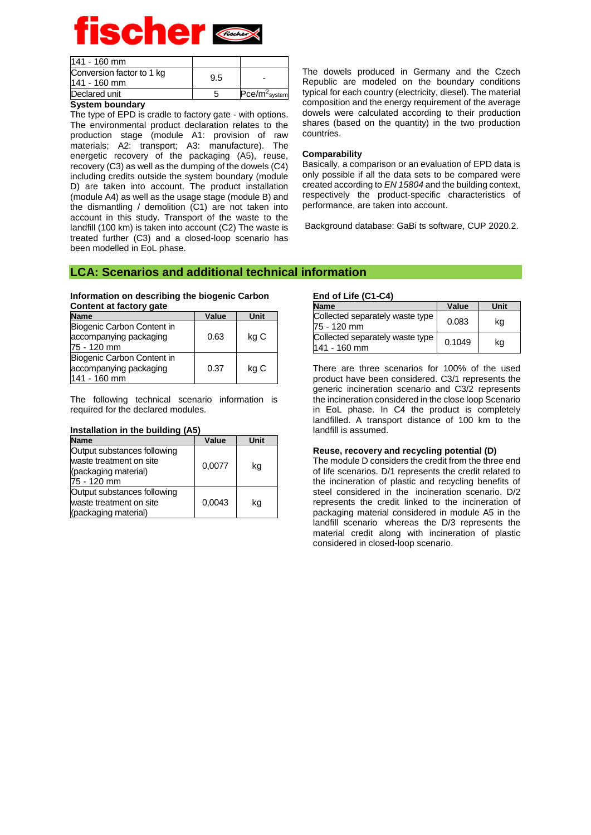| 141 - 160 mm                              |     |                 |
|-------------------------------------------|-----|-----------------|
| Conversion factor to 1 kg<br>141 - 160 mm | 9.5 |                 |
| Declared unit                             |     | $Pce/m2$ system |

#### **System boundary**

The type of EPD is cradle to factory gate - with options. The environmental product declaration relates to the production stage (module A1: provision of raw materials; A2: transport; A3: manufacture). The energetic recovery of the packaging (A5), reuse, recovery (C3) as well as the dumping of the dowels (C4) including credits outside the system boundary (module D) are taken into account. The product installation (module A4) as well as the usage stage (module B) and the dismantling / demolition (C1) are not taken into account in this study. Transport of the waste to the landfill (100 km) is taken into account (C2) The waste is treated further (C3) and a closed-loop scenario has been modelled in EoL phase.

The dowels produced in Germany and the Czech Republic are modeled on the boundary conditions typical for each country (electricity, diesel). The material composition and the energy requirement of the average dowels were calculated according to their production shares (based on the quantity) in the two production countries.

#### **Comparability**

Basically, a comparison or an evaluation of EPD data is only possible if all the data sets to be compared were created according to *EN 15804* and the building context, respectively the product-specific characteristics of performance, are taken into account.

Background database: GaBi ts software, CUP 2020.2.

#### **LCA: Scenarios and additional technical information**

#### **Information on describing the biogenic Carbon Content at factory gate**

| <b>Name</b>                                                          | Value | Unit |
|----------------------------------------------------------------------|-------|------|
| Biogenic Carbon Content in<br>accompanying packaging<br>75 - 120 mm  | 0.63  | kg C |
| Biogenic Carbon Content in<br>accompanying packaging<br>141 - 160 mm | 0.37  | kg C |

The following technical scenario information is required for the declared modules.

| <b>Name</b>                                                                                   | Value  | Unit |
|-----------------------------------------------------------------------------------------------|--------|------|
| Output substances following<br>waste treatment on site<br>(packaging material)<br>75 - 120 mm | 0,0077 | ka   |
| Output substances following<br>waste treatment on site<br>(packaging material)                | 0.0043 | kg   |

#### **Installation in the building (A5)**

### **End of Life (C1-C4)**

| $EIII$ of $EIE$ (c) $ C4$ )                       |        |      |
|---------------------------------------------------|--------|------|
| <b>Name</b>                                       | Value  | Unit |
| Collected separately waste type<br>75 - 120 mm    | 0.083  | ka   |
| Collected separately waste type<br>$141 - 160$ mm | 0.1049 | kg   |

There are three scenarios for 100% of the used product have been considered. C3/1 represents the generic incineration scenario and C3/2 represents the incineration considered in the close loop Scenario in EoL phase. In C4 the product is completely landfilled. A transport distance of 100 km to the landfill is assumed.

#### **Reuse, recovery and recycling potential (D)**

The module D considers the credit from the three end of life scenarios. D/1 represents the credit related to the incineration of plastic and recycling benefits of steel considered in the incineration scenario. D/2 represents the credit linked to the incineration of packaging material considered in module A5 in the landfill scenario whereas the D/3 represents the material credit along with incineration of plastic considered in closed-loop scenario.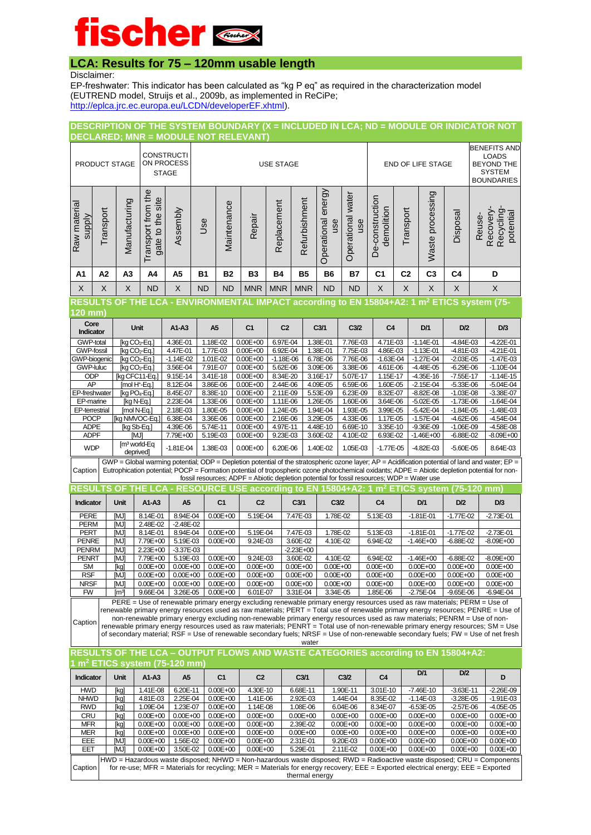## **LCA: Results for 75 – 120mm usable length**

Disclaimer:

EP-freshwater: This indicator has been calculated as "kg P eq" as required in the characterization model (EUTREND model, Struijs et al., 2009b, as implemented in ReCiPe; [http://eplca.jrc.ec.europa.eu/LCDN/developerEF.xhtml\)](http://eplca.jrc.ec.europa.eu/LCDN/developerEF.xhtml).

#### **DESCRIPTION OF THE SYSTEM BOUNDARY (X = INCLUDED IN LCA; ND = MODULE OR INDICATOR NOT DECLARED; MNR = MODULE NOT RELEVANT)**

| <b>CONSTRUCTI</b><br>ON PROCESS<br>PRODUCT STAGE<br><b>STAGE</b> |          |                |                                                            |          |                                                                                         | <b>USE STAGE</b> |            |             |               |                              |                             |                                    |                | <b>END OF LIFE STAGE</b> |          |                                        |  |
|------------------------------------------------------------------|----------|----------------|------------------------------------------------------------|----------|-----------------------------------------------------------------------------------------|------------------|------------|-------------|---------------|------------------------------|-----------------------------|------------------------------------|----------------|--------------------------|----------|----------------------------------------|--|
| Raw material<br>supply                                           | ransport | Manufacturing  | the<br>site<br>from<br>the<br>5<br>đ<br>qsn<br>gate<br>Tra | Assembly | Use                                                                                     | Maintenance      | Repair     | Replacement | Refurbishment | energy<br>Operational<br>use | water<br>Operational<br>use | construction<br>demolition<br>De-i | Transport      | processing<br>Waste      | Disposal | potentia<br>Reuse<br>Recyclir<br>Recov |  |
| A <sub>1</sub>                                                   | А2       | A <sub>3</sub> | A4                                                         | A5       | <b>B2</b><br><b>B3</b><br><b>B4</b><br><b>B5</b><br><b>B6</b><br><b>B7</b><br><b>B1</b> |                  |            |             |               | C1                           | C <sub>2</sub>              | C <sub>3</sub>                     | C <sub>4</sub> | D                        |          |                                        |  |
| $\times$                                                         | X        | X              | <b>ND</b>                                                  | X        | <b>ND</b>                                                                               | <b>ND</b>        | <b>MNR</b> | <b>MNR</b>  | <b>MNR</b>    | <b>ND</b>                    | <b>ND</b>                   | X                                  | X              | X                        | X        | X                                      |  |

### **RESULTS OF THE LCA - ENVIRONMENTAL IMPACT according to EN 15804+A2: 1 m<sup>2</sup> ETICS system (75-**

| 120 mm)               |                                      |               |          |                |                |                  |                  |                |               |               |               |
|-----------------------|--------------------------------------|---------------|----------|----------------|----------------|------------------|------------------|----------------|---------------|---------------|---------------|
| Core<br>Indicator     | <b>Unit</b>                          | $A1-A3$       | A5       | C <sub>1</sub> | C <sub>2</sub> | C <sub>3/1</sub> | C <sub>3/2</sub> | C <sub>4</sub> | D/1           | D/2           | D/3           |
| GWP-total             | [kg CO <sub>2</sub> -Eq.]            | 4.36E-01      | 1.18E-02 | $0.00E + 00$   | 6.97E-04       | 1.38E-01         | 7.76E-03         | 4.71E-03       | $-1.14E - 01$ | $-4.84E - 03$ | $-4.22E - 01$ |
| <b>GWP-fossil</b>     | $[kq CO2-Eq.]$                       | 4.47E-01      | 1.77E-03 | $0.00E + 00$   | 6.92E-04       | 1.38E-01         | 7.75E-03         | 4.86E-03       | $-1.13E - 01$ | $-4.81E - 03$ | $-4.21E - 01$ |
| GWP-biogenic          | $[ka CO2-Eq.]$                       | $-1.14E - 02$ | 1.01E-02 | $0.00E + 00$   | $-1.18E - 06$  | 6.78E-06         | 7.76E-06         | $-1.63E - 04$  | $-1.27E - 04$ | $-2.03E - 05$ | $-1.47E - 03$ |
| <b>GWP-luluc</b>      | $[ka CO2-Eq.]$                       | 3.56E-04      | 7.91E-07 | $0.00E + 00$   | 5.62E-06       | 3.09E-06         | 3.38E-06         | 4.61E-06       | $-4.48E - 05$ | $-6.29E - 06$ | $-1.10E - 04$ |
| <b>ODP</b>            | [kg CFC11-Eq.]                       | 9.15E-14      | 3.41E-18 | $0.00E + 00$   | 8.34E-20       | 3.16E-17         | 5.07E-17         | 1.15E-17       | $-4.35E-16$   | $-7.55E-17$   | $-1.14E-15$   |
| AP                    | Imol H <sup>+</sup> -Eq.]            | 8.12E-04      | 3.86E-06 | $0.00E + 00$   | 2.44E-06       | 4.09E-05         | 6.59E-06         | 1.60E-05       | $-2.15E - 04$ | $-5.33E - 06$ | $-5.04E - 04$ |
| <b>EP-freshwater</b>  | $[kq PO4-Eq.]$                       | 8.45E-07      | 8.38E-10 | $0.00E + 00$   | 2.11E-09       | 5.53E-09         | 6.23E-09         | 8.32E-07       | $-8.82E - 08$ | $-1.03E - 08$ | $-3.38E - 07$ |
| EP-marine             | [kg N-Eg.]                           | 2.23E-04      | 1.33E-06 | $0.00E + 00$   | 1.11E-06       | 1.26E-05         | 1.60E-06         | 3.64E-06       | $-5.02E - 05$ | $-1.73E - 06$ | $-1.64E - 04$ |
| <b>EP-terrestrial</b> | Imol N-Ea.1                          | 2.18E-03      | 1.80E-05 | $0.00E + 00$   | 1.24E-05       | 1.94E-04         | 1.93E-05         | 3.99E-05       | $-5.42E - 04$ | $-1.84E - 05$ | $-1.48E - 03$ |
| <b>POCP</b>           | <b>Ika NMVOC-Ea.1</b>                | 6.38E-04      | 3.36E-06 | $0.00E + 00$   | 2.16E-06       | 3.29E-05         | 4.33E-06         | 1.17E-05       | $-1.57E - 04$ | $-4.62E - 06$ | $-4.54E - 04$ |
| <b>ADPE</b>           | [kg Sb-Eg.]                          | 4.39E-06      | 5.74E-11 | $0.00E + 00$   | 4.97E-11       | 4.48E-10         | 6.69E-10         | 3.35E-10       | $-9.36E - 09$ | $-1.06E - 09$ | $-4.58E - 08$ |
| <b>ADPF</b>           | [MJ]                                 | 7.79E+00      | 5.19E-03 | $0.00E + 00$   | 9.23E-03       | 3.60E-02         | 4.10E-02         | 6.93E-02       | $-1.46E + 00$ | $-6.88E - 02$ | $-8.09E + 00$ |
| <b>WDP</b>            | $\mathsf{Im}^3$ world-Eq<br>deprived | $-1.81E - 04$ | 1.38E-03 | $0.00E + 00$   | 6.20E-06       | 1.40E-02         | 1.05E-03         | $-1.77E-05$    | $-4.82E - 03$ | $-5.60E - 05$ | 8.64E-03      |
|                       |                                      |               |          |                |                |                  |                  |                |               |               |               |

Caption GWP = Global warming potential; ODP = Depletion potential of the stratospheric ozone layer; AP = Acidification potential of land and water; EP = Eutrophication potential; POCP = Formation potential of tropospheric ozone photochemical oxidants; ADPE = Abiotic depletion potential for nonfossil resources; ADPF = Abiotic depletion potential for fossil resources; WDP = Water use

| RESULTS OF THE LCA - RESOURCE USE according to EN 15804+A2: 1 m <sup>2</sup> ETICS system (75-120 mm) |      |         |  |  |  |      |  |  |  |     |  |
|-------------------------------------------------------------------------------------------------------|------|---------|--|--|--|------|--|--|--|-----|--|
| Indicator                                                                                             | Unit | $A1-A3$ |  |  |  | C3/1 |  |  |  | D/2 |  |

| II KIVAWI    | um                | <b>AI-AJ</b> | rw            | $\mathbf{v}$ . | ◡▵           | vv i          | <b>VJIL</b>  | ∽            | יש            | - -           | ּטוּ          |
|--------------|-------------------|--------------|---------------|----------------|--------------|---------------|--------------|--------------|---------------|---------------|---------------|
| <b>PERE</b>  | MJI               | 8.14E-01     | 8.94E-04      | $0.00E + 00$   | 5.19E-04     | 7.47E-03      | 1.78E-02     | 5.13E-03     | $-1.81E - 01$ | $-1.77E-02$   | $-2.73E - 01$ |
| <b>PERM</b>  | <b>TMJ1</b>       | 2.48E-02     | $-2.48E - 02$ |                |              |               |              |              |               |               |               |
| <b>PERT</b>  | imji              | 8.14E-01     | 8.94E-04      | $0.00E + 00$   | 5.19E-04     | 7.47E-03      | 1.78E-02     | 5.13E-03     | $-1.81E - 01$ | $-1.77E-02$   | $-2.73E - 01$ |
| <b>PENRE</b> | <b>IMJ</b>        | 7.79E+00     | 5.19E-03      | $0.00E + 00$   | 9.24E-03     | 3.60E-02      | 4.10E-02     | 6.94E-02     | $-1.46E + 00$ | $-6.88E - 02$ | $-8.09E + 00$ |
| <b>PENRM</b> | <b>IMJI</b>       | $2.23E + 00$ | $-3.37E - 03$ |                |              | $-2.23E + 00$ |              |              |               |               |               |
| <b>PENRT</b> | [MJ]              | 7.79E+00     | 5.19E-03      | $0.00E + 00$   | 9.24E-03     | 3.60E-02      | 4.10E-02     | 6.94E-02     | $-1.46E + 00$ | $-6.88E - 02$ | $-8.09E + 00$ |
| <b>SM</b>    | [kg]              | $0.00E + 00$ | $0.00E + 00$  | $0.00E + 00$   | $0.00E + 00$ | $0.00E + 00$  | $0.00E + 00$ | $0.00E + 00$ | $0.00E + 00$  | $0.00E + 00$  | $0.00E + 00$  |
| <b>RSF</b>   | [MJ]              | $0.00E + 00$ | $0.00E + 00$  | $0.00E + 00$   | $0.00E + 00$ | $0.00E + 00$  | $0.00E + 00$ | $0.00E + 00$ | $0.00E + 00$  | $0.00E + 00$  | $0.00E + 00$  |
| <b>NRSF</b>  | imj               | $0.00E + 00$ | $0.00E + 00$  | $0.00E + 00$   | $0.00E + 00$ | $0.00E + 00$  | 0.00E+00     | $0.00E + 00$ | $0.00E + 00$  | $0.00E + 00$  | $0.00E + 00$  |
| <b>FW</b>    | [m <sup>3</sup> ] | 9.66E-04     | 3.26E-05      | $0.00E + 00$   | 6.01E-07     | 3.31E-04      | 3.34E-05     | 85E-06       | $-2.75E - 04$ | $-9.65E - 06$ | $-6.94E - 04$ |

Caption PERE = Use of renewable primary energy excluding renewable primary energy resources used as raw materials; PERM = Use of renewable primary energy resources used as raw materials; PERT = Total use of renewable primary energy resources; PENRE = Use of non-renewable primary energy excluding non-renewable primary energy resources used as raw materials; PENRM = Use of nonrenewable primary energy resources used as raw materials; PENRT = Total use of non-renewable primary energy resources; SM = Use

of secondary material; RSF = Use of renewable secondary fuels; NRSF = Use of non-renewable secondary fuels; FW = Use of net fresh water **RESULTS OF THE LCA – OUTPUT FLOWS AND WASTE CATEGORIES according to EN 15804+A2:** 

|             |             | 1 $m^2$ ETICS system (75-120 mm) |                |                |                |                |                                                                                                                                  |                |               |               |               |
|-------------|-------------|----------------------------------|----------------|----------------|----------------|----------------|----------------------------------------------------------------------------------------------------------------------------------|----------------|---------------|---------------|---------------|
| Indicator   | <b>Unit</b> | $A1-A3$                          | A <sub>5</sub> | C <sub>1</sub> | C <sub>2</sub> |                | C <sub>3/2</sub>                                                                                                                 | C <sub>4</sub> | D/1           | D/2           | D             |
| <b>HWD</b>  | [kg]        | 1.41E-08                         | 6.20E-11       | $0.00E + 00$   | 4.30E-10       | 6.68E-11       | 1.90E-11                                                                                                                         | 3.01E-10       | $-7.46E - 10$ | $-3.63E - 11$ | $-2.26E - 09$ |
| <b>NHWD</b> | [kg]        | 4.81E-03                         | 2.25E-04       | $0.00E + 00$   | 1.41E-06       | 2.92E-03       | 1.44E-04                                                                                                                         | 8.35E-02       | $-1.14E - 03$ | $-3.28E - 05$ | $-1.91E - 03$ |
| <b>RWD</b>  | [kg]        | 1.09E-04                         | 1.23E-07       | $0.00E + 00$   | 1.14E-08       | 1.08E-06       | 6.04E-06                                                                                                                         | 8.34E-07       | $-6.53E - 05$ | $-2.57E - 06$ | $-4.05E - 05$ |
| <b>CRU</b>  | [kg]        | $0.00E + 00$                     | $0.00E + 00$   | $0.00E + 00$   | $0.00E + 00$   | $0.00E + 00$   | $0.00E + 00$                                                                                                                     | $0.00E + 00$   | $0.00E + 00$  | $0.00E + 00$  | $0.00E + 00$  |
| <b>MFR</b>  | [kg]        | $0.00E + 00$                     | $0.00E + 00$   | $0.00E + 00$   | $0.00E + 00$   | 2.39E-02       | $0.00E + 00$                                                                                                                     | $0.00E + 00$   | $0.00E + 00$  | $0.00E + 00$  | $0.00E + 00$  |
| <b>MER</b>  | [kg]        | $0.00E + 00$                     | $0.00E + 00$   | $0.00E + 00$   | $0.00E + 00$   | $0.00E + 00$   | $0.00E + 00$                                                                                                                     | $0.00E + 00$   | $0.00E + 00$  | $0.00E + 00$  | $0.00E + 00$  |
| EEE         | [MJ]        | $0.00E + 00$                     | 1.56E-02       | $0.00E + 00$   | $0.00E + 00$   | 2.31E-01       | 9.20E-03                                                                                                                         | $0.00E + 00$   | $0.00E + 00$  | $0.00E + 00$  | $0.00E + 00$  |
| EET         | <b>IMJI</b> | $0.00E + 00$                     | 3.50E-02       | $0.00E + 00$   | $0.00E + 00$   | 5.29E-01       | 2.11E-02                                                                                                                         | $0.00E + 00$   | $0.00E + 00$  | $0.00E + 00$  | $0.00E + 00$  |
|             |             |                                  |                |                |                |                | HWD = Hazardous waste disposed; NHWD = Non-hazardous waste disposed; RWD = Radioactive waste disposed; CRU = Components          |                |               |               |               |
| Caption I   |             |                                  |                |                |                |                | for re-use; MFR = Materials for recycling; MER = Materials for energy recovery; EEE = Exported electrical energy; EEE = Exported |                |               |               |               |
|             |             |                                  |                |                |                | thermal energy |                                                                                                                                  |                |               |               |               |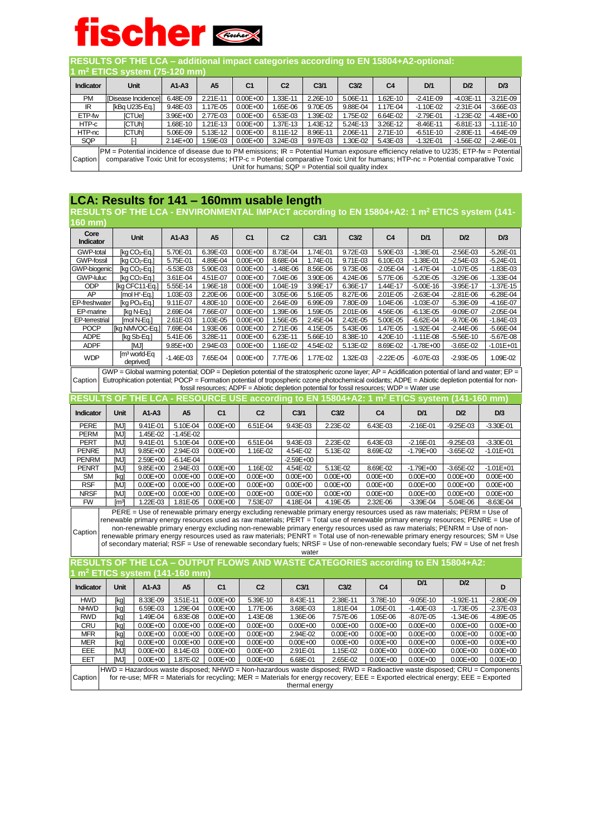**RESULTS OF THE LCA – additional impact categories according to EN 15804+A2-optional:** 

|                  | 1 $m^2$ ETICS system (75-120 mm)                                                                                                                                                                                                                                                                                                        |              |          |                |                |                  |                  |                |               |               |               |  |  |
|------------------|-----------------------------------------------------------------------------------------------------------------------------------------------------------------------------------------------------------------------------------------------------------------------------------------------------------------------------------------|--------------|----------|----------------|----------------|------------------|------------------|----------------|---------------|---------------|---------------|--|--|
| <b>Indicator</b> | <b>Unit</b>                                                                                                                                                                                                                                                                                                                             | $A1 - A3$    | A5       | C <sub>1</sub> | C <sub>2</sub> | C <sub>3/1</sub> | C <sub>3/2</sub> | C <sub>4</sub> | D/1           | D/2           | D/3           |  |  |
| <b>PM</b>        | [Disease Incidence]                                                                                                                                                                                                                                                                                                                     | 6.48E-09     | 2.21E-11 | $0.00E + 00$   | 1.33E-11       | 2.26E-10         | 5.06E-11         | 1.62E-10       | $-2.41E-09$   | $-4.03E - 11$ | $-3.21E - 09$ |  |  |
| IR               | [kBq U235-Eq.]                                                                                                                                                                                                                                                                                                                          | 9.48E-03     | 1.17E-05 | $0.00E + 00$   | 1.65E-06       | 9.70E-05         | 9.88E-04         | 1.17E-04       | $-1.10E - 02$ | $-2.31E - 04$ | $-3.66E - 03$ |  |  |
| ETP-fw           | <b>ICTUel</b>                                                                                                                                                                                                                                                                                                                           | 3.96E+00     | 2.77E-03 | $0.00E + 00$   | 6.53E-03       | 1.39E-02         | 1.75E-02         | 6.64E-02       | $-2.79E - 01$ | $-1.23E - 02$ | $-4.48E + 00$ |  |  |
| HTP-c            | <b>ICTUHI</b>                                                                                                                                                                                                                                                                                                                           | .68E-10      | 1.21E-13 | $0.00E + 00$   | 1.37E-13       | 1.43E-12         | 5.24E-13         | 3.26E-12       | $-8.46E - 11$ | $-6.81E-13$   | $-1.11E-10$   |  |  |
| HTP-nc           | [CTUh]                                                                                                                                                                                                                                                                                                                                  | 5.06E-09     | 5.13E-12 | $0.00E + 00$   | 8.11E-12       | 8.96E-11         | 2.06E-11         | 2.71E-10       | $-6.51E-10$   | $-2.80E - 11$ | $-4.64E - 09$ |  |  |
| <b>SQP</b>       |                                                                                                                                                                                                                                                                                                                                         | $2.14E + 00$ | .59E-03  | $0.00E + 00$   | 3.24E-03       | 9.97E-03         | 1.30E-02         | 5.43E-03       | $-1.32E - 01$ | $-1.56E - 02$ | $-2.46E - 01$ |  |  |
|                  |                                                                                                                                                                                                                                                                                                                                         |              |          |                |                |                  |                  |                |               |               |               |  |  |
| Caption          | $PM =$ Potential incidence of disease due to PM emissions; $IR =$ Potential Human exposure efficiency relative to U235; ETP-fw = Potential<br>comparative Toxic Unit for ecosystems; HTP-c = Potential comparative Toxic Unit for humans; HTP-nc = Potential comparative Toxic<br>Unit for humans; $SQP = Potential soil quality index$ |              |          |                |                |                  |                  |                |               |               |               |  |  |

#### **LCA: Results for 141 – 160mm usable length**

**RESULTS OF THE LCA - ENVIRONMENTAL IMPACT according to EN 15804+A2: 1 m<sup>2</sup> ETICS system (141- 160 mm)**

| Core<br>Indicator                                                                                                                                                                                                                                                                                                                                                                                           |                   | <b>Unit</b>                          | A1-A3                                                                                                                                                                                                                                                                                                                                                                                                                                                                                                                                                                                                                                                            | A5             | C <sub>1</sub> | C <sub>2</sub> |                  |       | C <sub>3/1</sub>             | C <sub>3/2</sub> |  | C <sub>4</sub> |  | D/1           | D/2           | D/3           |
|-------------------------------------------------------------------------------------------------------------------------------------------------------------------------------------------------------------------------------------------------------------------------------------------------------------------------------------------------------------------------------------------------------------|-------------------|--------------------------------------|------------------------------------------------------------------------------------------------------------------------------------------------------------------------------------------------------------------------------------------------------------------------------------------------------------------------------------------------------------------------------------------------------------------------------------------------------------------------------------------------------------------------------------------------------------------------------------------------------------------------------------------------------------------|----------------|----------------|----------------|------------------|-------|------------------------------|------------------|--|----------------|--|---------------|---------------|---------------|
| <b>GWP-total</b>                                                                                                                                                                                                                                                                                                                                                                                            |                   | [kg CO2-Eq.]                         | 5.70E-01                                                                                                                                                                                                                                                                                                                                                                                                                                                                                                                                                                                                                                                         | 6.39E-03       | $0.00E + 00$   | 8.73E-04       |                  |       | 1.74E-01                     | 9.72E-03         |  | 5.90E-03       |  | $-1.38E - 01$ | $-2.56E - 03$ | $-5.26E - 01$ |
| <b>GWP-fossil</b>                                                                                                                                                                                                                                                                                                                                                                                           |                   | [kg CO2-Eg.]                         | 5.75E-01                                                                                                                                                                                                                                                                                                                                                                                                                                                                                                                                                                                                                                                         | 4.89E-04       | $0.00E + 00$   | 8.68E-04       |                  |       | 1.74E-01                     | 9.71E-03         |  | 6.10E-03       |  | $-1.38E - 01$ | $-2.54E-03$   | $-5.24E - 01$ |
| <b>GWP-biogenic</b>                                                                                                                                                                                                                                                                                                                                                                                         |                   | [kg CO <sub>2</sub> -Eq.]            | $-5.53E-03$                                                                                                                                                                                                                                                                                                                                                                                                                                                                                                                                                                                                                                                      | 5.90E-03       | $0.00E + 00$   | $-1.48E - 06$  |                  |       | 8.56E-06                     | 9.73E-06         |  | $-2.05E - 04$  |  | $-1.47E - 04$ | $-1.07E - 05$ | $-1.83E - 03$ |
| <b>GWP-luluc</b>                                                                                                                                                                                                                                                                                                                                                                                            |                   | [kg CO2-Eq.]                         | 3.61E-04                                                                                                                                                                                                                                                                                                                                                                                                                                                                                                                                                                                                                                                         | 4.51E-07       | $0.00E + 00$   | 7.04E-06       |                  |       | 3.90E-06                     | 4.24E-06         |  | 5.77E-06       |  | $-5.20E - 05$ | $-3.29E - 06$ | $-1.33E - 04$ |
| ODP                                                                                                                                                                                                                                                                                                                                                                                                         |                   | [kg CFC11-Eq.]                       | 5.55E-14                                                                                                                                                                                                                                                                                                                                                                                                                                                                                                                                                                                                                                                         | 1.96E-18       | $0.00E + 00$   | 1.04E-19       |                  |       | 3.99E-17                     | 6.36E-17         |  | 1.44E-17       |  | $-5.00E - 16$ | $-3.95E-17$   | $-1.37E-15$   |
| AP                                                                                                                                                                                                                                                                                                                                                                                                          |                   | [mol H <sup>+</sup> -Eq.]            | 1.03E-03                                                                                                                                                                                                                                                                                                                                                                                                                                                                                                                                                                                                                                                         | 2.20E-06       | $0.00E + 00$   | 3.05E-06       |                  |       | 5.16E-05                     | 8.27E-06         |  | 2.01E-05       |  | $-2.63E - 04$ | $-2.81E - 06$ | $-6.28E - 04$ |
| <b>EP-freshwater</b>                                                                                                                                                                                                                                                                                                                                                                                        |                   | [kg PO <sub>4</sub> -Eq.]            | 9.11E-07                                                                                                                                                                                                                                                                                                                                                                                                                                                                                                                                                                                                                                                         | 4.80E-10       | $0.00E + 00$   | 2.64E-09       |                  |       | 6.99E-09                     | 7.80E-09         |  | 1.04E-06       |  | $-1.03E - 07$ | $-5.39E - 09$ | $-4.16E - 07$ |
| EP-marine                                                                                                                                                                                                                                                                                                                                                                                                   |                   | [kg N-Eg.]                           | 2.69E-04                                                                                                                                                                                                                                                                                                                                                                                                                                                                                                                                                                                                                                                         | 7.66E-07       | $0.00E + 00$   | 1.39E-06       |                  |       | 1.59E-05                     | 2.01E-06         |  | 4.56E-06       |  | $-6.13E - 05$ | $-9.09E - 07$ | $-2.05E - 04$ |
| EP-terrestrial                                                                                                                                                                                                                                                                                                                                                                                              |                   | [mol N-Eq.]                          | 2.61E-03                                                                                                                                                                                                                                                                                                                                                                                                                                                                                                                                                                                                                                                         | 1.03E-05       | $0.00E + 00$   | 1.56E-05       |                  |       | 2.45E-04                     | 2.42E-05         |  | 5.00E-05       |  | $-6.62E - 04$ | $-9.70E - 06$ | $-1.84E - 03$ |
| <b>POCP</b>                                                                                                                                                                                                                                                                                                                                                                                                 |                   | [kg NMVOC-Eq.]                       | 7.69E-04                                                                                                                                                                                                                                                                                                                                                                                                                                                                                                                                                                                                                                                         | 1.93E-06       | $0.00E + 00$   | 2.71E-06       |                  |       | 4.15E-05                     | 5.43E-06         |  | 1.47E-05       |  | $-1.92E - 04$ | $-2.44E - 06$ | $-5.66E - 04$ |
| <b>ADPE</b>                                                                                                                                                                                                                                                                                                                                                                                                 |                   | [kg Sb-Eq.]                          | 5.41E-06                                                                                                                                                                                                                                                                                                                                                                                                                                                                                                                                                                                                                                                         | 3.28E-11       | $0.00E + 00$   | 6.23E-11       |                  |       | 5.66E-10                     | 8.38E-10         |  | 4.20E-10       |  | $-1.11E-08$   | $-5.56E-10$   | $-5.67E - 08$ |
| <b>ADPF</b>                                                                                                                                                                                                                                                                                                                                                                                                 |                   | <b>MJ</b>                            | 9.85E+00                                                                                                                                                                                                                                                                                                                                                                                                                                                                                                                                                                                                                                                         | 2.94E-03       | $0.00E + 00$   | 1.16E-02       |                  |       | 4.54E-02                     | 5.13E-02         |  | 8.69E-02       |  | $-1.78E + 00$ | $-3.65E - 02$ | $-1.01E + 01$ |
| <b>WDP</b>                                                                                                                                                                                                                                                                                                                                                                                                  |                   | [m <sup>3</sup> world-Eq<br>deprived | $-1.46E - 03$                                                                                                                                                                                                                                                                                                                                                                                                                                                                                                                                                                                                                                                    | 7.65E-04       | $0.00E + 00$   | 7.77E-06       |                  |       | 1.77E-02                     | 1.32E-03         |  | $-2.22E - 05$  |  | $-6.07E - 03$ | $-2.93E - 05$ | 1.09E-02      |
| GWP = Global warming potential; ODP = Depletion potential of the stratospheric ozone layer; AP = Acidification potential of land and water; EP =<br>Eutrophication potential; POCP = Formation potential of tropospheric ozone photochemical oxidants; ADPE = Abiotic depletion potential for non-<br>Caption<br>fossil resources; ADPF = Abiotic depletion potential for fossil resources; WDP = Water use |                   |                                      |                                                                                                                                                                                                                                                                                                                                                                                                                                                                                                                                                                                                                                                                  |                |                |                |                  |       |                              |                  |  |                |  |               |               |               |
| RESULTS OF THE LCA - RESOURCE USE according to EN 15804+A2: 1 m <sup>2</sup> ETICS system (141-160 mm)                                                                                                                                                                                                                                                                                                      |                   |                                      |                                                                                                                                                                                                                                                                                                                                                                                                                                                                                                                                                                                                                                                                  |                |                |                |                  |       |                              |                  |  |                |  |               |               |               |
|                                                                                                                                                                                                                                                                                                                                                                                                             |                   |                                      |                                                                                                                                                                                                                                                                                                                                                                                                                                                                                                                                                                                                                                                                  |                |                |                |                  |       |                              |                  |  |                |  |               |               |               |
| <b>Indicator</b>                                                                                                                                                                                                                                                                                                                                                                                            | <b>Unit</b>       | $A1-A3$                              | A <sub>5</sub>                                                                                                                                                                                                                                                                                                                                                                                                                                                                                                                                                                                                                                                   | C <sub>1</sub> | C <sub>2</sub> |                | C <sub>3/1</sub> |       |                              | C <sub>3/2</sub> |  | C <sub>4</sub> |  | D/1           | D/2           | D/3           |
| <b>PERE</b>                                                                                                                                                                                                                                                                                                                                                                                                 | <b>IMJI</b>       | 9.41E-01                             | 5.10E-04                                                                                                                                                                                                                                                                                                                                                                                                                                                                                                                                                                                                                                                         | $0.00E + 00$   | 6.51E-04       |                | 9.43E-03         |       |                              | 2.23E-02         |  | 6.43E-03       |  | $-2.16E - 01$ | $-9.25E - 03$ | $-3.30E - 01$ |
| <b>PERM</b>                                                                                                                                                                                                                                                                                                                                                                                                 | <b>IMJI</b>       | 1.45E-02                             | $-1.45E - 02$                                                                                                                                                                                                                                                                                                                                                                                                                                                                                                                                                                                                                                                    |                |                |                |                  |       |                              |                  |  |                |  |               |               |               |
| <b>PERT</b>                                                                                                                                                                                                                                                                                                                                                                                                 | imj               | 9.41E-01                             | 5.10E-04                                                                                                                                                                                                                                                                                                                                                                                                                                                                                                                                                                                                                                                         | $0.00E + 00$   | 6.51E-04       |                | 9.43E-03         |       |                              | 2.23E-02         |  | 6.43E-03       |  | $-2.16E - 01$ | $-9.25E - 03$ | $-3.30E - 01$ |
| <b>PENRE</b>                                                                                                                                                                                                                                                                                                                                                                                                | <b>IMJ</b>        | 9.85E+00                             | 2.94E-03                                                                                                                                                                                                                                                                                                                                                                                                                                                                                                                                                                                                                                                         | $0.00E + 00$   | 1.16E-02       |                | 4.54E-02         |       | 5.13E-02                     |                  |  | 8.69E-02       |  | $-1.79E + 00$ | $-3.65E - 02$ | $-1.01E + 01$ |
| <b>PENRM</b>                                                                                                                                                                                                                                                                                                                                                                                                | imj               | 2.59E+00                             | $-6.14E - 04$                                                                                                                                                                                                                                                                                                                                                                                                                                                                                                                                                                                                                                                    |                |                |                | $-2.59E + 00$    |       |                              |                  |  |                |  |               |               |               |
| <b>PENRT</b>                                                                                                                                                                                                                                                                                                                                                                                                | <b>IMJI</b>       | $9.85E + 00$                         | 2.94E-03                                                                                                                                                                                                                                                                                                                                                                                                                                                                                                                                                                                                                                                         | $0.00E + 00$   | 1.16E-02       |                | 4.54E-02         |       | 5.13E-02                     |                  |  | 8.69E-02       |  | $-1.79E + 00$ | $-3.65E - 02$ | $-1.01E + 01$ |
| <b>SM</b>                                                                                                                                                                                                                                                                                                                                                                                                   | [kq]              | $0.00E + 00$                         | $0.00E + 00$                                                                                                                                                                                                                                                                                                                                                                                                                                                                                                                                                                                                                                                     | $0.00E + 00$   | $0.00E + 00$   |                | $0.00E + 00$     |       | $0.00E + 00$                 |                  |  | $0.00E + 00$   |  | $0.00E + 00$  | $0.00E + 00$  | $0.00E + 00$  |
| <b>RSF</b>                                                                                                                                                                                                                                                                                                                                                                                                  | imj               | $0.00E + 00$                         | $0.00E + 00$                                                                                                                                                                                                                                                                                                                                                                                                                                                                                                                                                                                                                                                     | $0.00E + 00$   | $0.00E + 00$   |                | $0.00E + 00$     |       | $0.00E + 00$<br>$0.00E + 00$ |                  |  | $0.00E + 00$   |  | $0.00E + 00$  | $0.00E + 00$  | $0.00E + 00$  |
| <b>NRSF</b>                                                                                                                                                                                                                                                                                                                                                                                                 | <b>MJ1</b>        | $0.00E + 00$                         | $0.00E + 00$                                                                                                                                                                                                                                                                                                                                                                                                                                                                                                                                                                                                                                                     | $0.00E + 00$   | $0.00E + 00$   |                | $0.00E + 00$     |       |                              |                  |  | $0.00E + 00$   |  | $0.00E + 00$  | $0.00E + 00$  | $0.00E + 00$  |
| <b>FW</b>                                                                                                                                                                                                                                                                                                                                                                                                   | [m <sup>3</sup> ] | 1.22E-03                             | 1.81E-05                                                                                                                                                                                                                                                                                                                                                                                                                                                                                                                                                                                                                                                         | $0.00E + 00$   | 7.53E-07       |                | 4.18E-04         |       |                              | 4.19E-05         |  | 2.32E-06       |  | $-3.39E - 04$ | $-5.04E - 06$ | $-8.63E - 04$ |
| Caption                                                                                                                                                                                                                                                                                                                                                                                                     |                   |                                      | PERE = Use of renewable primary energy excluding renewable primary energy resources used as raw materials; PERM = Use of<br>renewable primary energy resources used as raw materials; PERT = Total use of renewable primary energy resources; PENRE = Use of<br>non-renewable primary energy excluding non-renewable primary energy resources used as raw materials; PENRM = Use of non-<br>renewable primary energy resources used as raw materials; PENRT = Total use of non-renewable primary energy resources; SM = Use<br>of secondary material; RSF = Use of renewable secondary fuels; NRSF = Use of non-renewable secondary fuels; FW = Use of net fresh |                |                |                |                  | water |                              |                  |  |                |  |               |               |               |
| RESULTS OF THE LCA - OUTPUT FLOWS AND WASTE CATEGORIES according to EN 15804+A2:                                                                                                                                                                                                                                                                                                                            |                   |                                      |                                                                                                                                                                                                                                                                                                                                                                                                                                                                                                                                                                                                                                                                  |                |                |                |                  |       |                              |                  |  |                |  |               |               |               |
|                                                                                                                                                                                                                                                                                                                                                                                                             |                   |                                      | $m2$ ETICS system (141-160 mm)                                                                                                                                                                                                                                                                                                                                                                                                                                                                                                                                                                                                                                   |                |                |                |                  |       |                              |                  |  |                |  |               |               |               |
| <b>Indicator</b>                                                                                                                                                                                                                                                                                                                                                                                            | <b>Unit</b>       | $A1 - A3$                            | A <sub>5</sub>                                                                                                                                                                                                                                                                                                                                                                                                                                                                                                                                                                                                                                                   | C <sub>1</sub> | C <sub>2</sub> |                | C <sub>3/1</sub> |       |                              | C <sub>3/2</sub> |  | C <sub>4</sub> |  | D/1           | D/2           | D             |
| <b>HWD</b>                                                                                                                                                                                                                                                                                                                                                                                                  | [kq]              | 8.33E-09                             | 3.51E-11                                                                                                                                                                                                                                                                                                                                                                                                                                                                                                                                                                                                                                                         | $0.00E + 00$   | 5.39E-10       |                | 8.43E-11         |       |                              | 2.38E-11         |  | 3.78E-10       |  | $-9.05E-10$   | $-1.92E - 11$ | $-2.80E - 09$ |
| <b>NHWD</b>                                                                                                                                                                                                                                                                                                                                                                                                 | [ka]              | 6.59E-03                             | 1.29E-04                                                                                                                                                                                                                                                                                                                                                                                                                                                                                                                                                                                                                                                         | $0.00E + 00$   | 1.77E-06       |                | 3.68E-03         |       |                              | 1.81E-04         |  | 1.05E-01       |  | $-1.40E - 03$ | $-1.73E - 05$ | $-2.37E - 03$ |
| <b>RWD</b>                                                                                                                                                                                                                                                                                                                                                                                                  | [kg]              | 1.49E-04                             | 6.83E-08                                                                                                                                                                                                                                                                                                                                                                                                                                                                                                                                                                                                                                                         | $0.00E + 00$   | 1.43E-08       |                | 1.36E-06         |       |                              | 7.57E-06         |  | 1.05E-06       |  | $-8.07E - 05$ | $-1.34E - 06$ | $-4.89E - 05$ |
| CRU                                                                                                                                                                                                                                                                                                                                                                                                         | [kg]              | $0.00E + 00$                         | $0.00E + 00$                                                                                                                                                                                                                                                                                                                                                                                                                                                                                                                                                                                                                                                     | $0.00E + 00$   | $0.00E + 00$   |                | $0.00E + 00$     |       |                              | $0.00E + 00$     |  | $0.00E + 00$   |  | $0.00E + 00$  | $0.00E + 00$  | $0.00E + 00$  |
| <b>MFR</b>                                                                                                                                                                                                                                                                                                                                                                                                  | [kg]              | $0.00E + 00$                         | $0.00E + 00$                                                                                                                                                                                                                                                                                                                                                                                                                                                                                                                                                                                                                                                     | $0.00E + 00$   | $0.00E + 00$   |                | 2.94E-02         |       |                              | $0.00E + 00$     |  | $0.00E + 00$   |  | $0.00E + 00$  | $0.00E + 00$  | $0.00E + 00$  |
| <b>MER</b>                                                                                                                                                                                                                                                                                                                                                                                                  | [ka]              | $0.00E + 00$                         | $0.00E + 00$                                                                                                                                                                                                                                                                                                                                                                                                                                                                                                                                                                                                                                                     | $0.00E + 00$   | $0.00E + 00$   |                | $0.00E + 00$     |       |                              | $0.00E + 00$     |  | $0.00E + 00$   |  | $0.00E + 00$  | $0.00E + 00$  | $0.00E + 00$  |
| EEE                                                                                                                                                                                                                                                                                                                                                                                                         | imj               | $0.00E + 00$                         | 8.14E-03                                                                                                                                                                                                                                                                                                                                                                                                                                                                                                                                                                                                                                                         | $0.00E + 00$   | $0.00E + 00$   |                | 2.91E-01         |       |                              | 1.15E-02         |  | $0.00E + 00$   |  | $0.00E + 00$  | $0.00E + 00$  | $0.00E + 00$  |
| EET                                                                                                                                                                                                                                                                                                                                                                                                         | <b>IMJI</b>       | $0.00E + 00$                         | 1.87E-02                                                                                                                                                                                                                                                                                                                                                                                                                                                                                                                                                                                                                                                         | $0.00E + 00$   | $0.00E + 00$   |                | 6.68E-01         |       |                              | 2.65E-02         |  | $0.00E + 00$   |  | $0.00E + 00$  | $0.00E + 00$  | $0.00E + 00$  |
| Caption                                                                                                                                                                                                                                                                                                                                                                                                     |                   |                                      | HWD = Hazardous waste disposed; NHWD = Non-hazardous waste disposed; RWD = Radioactive waste disposed; CRU = Components<br>for re-use; MFR = Materials for recycling; MER = Materials for energy recovery; EEE = Exported electrical energy; EEE = Exported                                                                                                                                                                                                                                                                                                                                                                                                      |                |                |                |                  |       | thermal energy               |                  |  |                |  |               |               |               |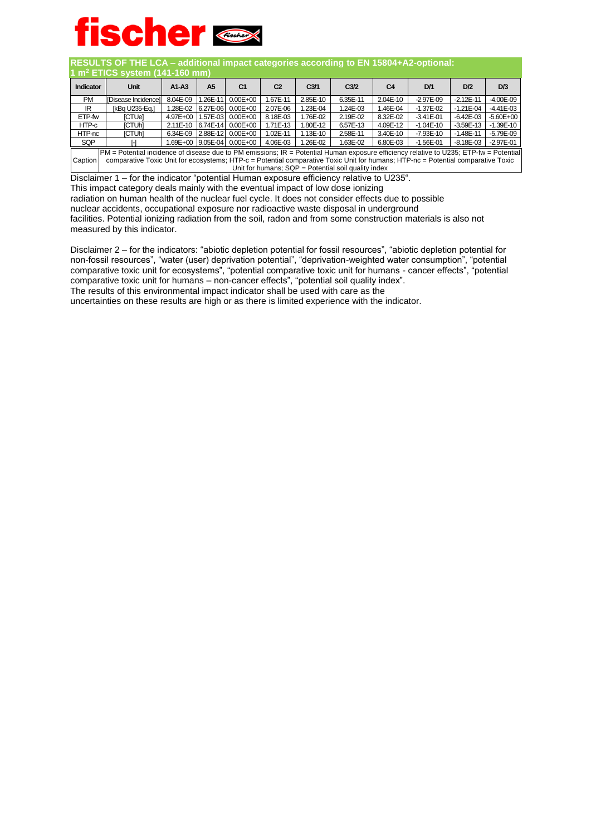

**RESULTS OF THE LCA – additional impact categories according to EN 15804+A2-optional:** 

| 1 $m^2$ ETICS system (141-160 mm)                                                                                                                                                                                                                                                                                                                   |                     |            |          |                            |                |                  |                  |                |               |               |               |
|-----------------------------------------------------------------------------------------------------------------------------------------------------------------------------------------------------------------------------------------------------------------------------------------------------------------------------------------------------|---------------------|------------|----------|----------------------------|----------------|------------------|------------------|----------------|---------------|---------------|---------------|
| <b>Indicator</b>                                                                                                                                                                                                                                                                                                                                    | <b>Unit</b>         | $A1-A3$    | A5       | C1                         | C <sub>2</sub> | C <sub>3/1</sub> | C <sub>3/2</sub> | C <sub>4</sub> | D/1           | D/2           | D/3           |
| <b>PM</b>                                                                                                                                                                                                                                                                                                                                           | [Disease Incidence] | 8.04E-09   | L26E-11  | $0.00E + 00$               | I.67E-11       | 2.85E-10         | 6.35E-11         | 2.04E-10       | $-2.97E - 09$ | $-2.12E - 11$ | $-4.00E - 09$ |
| IR                                                                                                                                                                                                                                                                                                                                                  | lkBa U235-Ea.1      | 1.28E-02   | 6.27E-06 | $0.00E + 00$               | 2.07E-06       | .23E-04          | 1.24E-03         | 1.46E-04       | $-1.37E - 02$ | $-1.21E - 04$ | $-4.41E - 03$ |
| ETP-fw                                                                                                                                                                                                                                                                                                                                              | <b>ICTUel</b>       | 4.97E+00   |          | 1.57E-03 0.00E+00          | 8.18E-03       | 1.76E-02         | 2.19E-02         | 8.32E-02       | $-3.41E - 01$ | $-6.42E - 03$ | $-5.60E + 00$ |
| HTP-c                                                                                                                                                                                                                                                                                                                                               | <b>ICTUHI</b>       | $2.11E-10$ |          | 6.74E-14 0.00E+00          | 1.71E-13       | 1.80E-12         | 6.57E-13         | 4.09E-12       | $-1.04E-10$   | $-3.59E-13$   | $-1.39E - 10$ |
| HTP-nc                                                                                                                                                                                                                                                                                                                                              | [CTUh]              | 6.34E-09   |          | 2.88E-12 0.00E+00          | 1.02E-11       | 1.13E-10         | 2.58E-11         | 3.40E-10       | $-7.93E - 10$ | $-1.48E - 11$ | $-5.79E - 09$ |
| <b>SQP</b>                                                                                                                                                                                                                                                                                                                                          | ь.                  |            |          | 1.69E+00 9.05E-04 0.00E+00 | 4.06E-03       | 1.26E-02         | 1.63E-02         | 6.80E-03       | $-1.56E - 01$ | $-8.18E - 03$ | $-2.97E - 01$ |
| $ PM =$ Potential incidence of disease due to PM emissions; $IR =$ Potential Human exposure efficiency relative to U235; ETP-fw = Potential<br>Caption<br>comparative Toxic Unit for ecosystems; HTP-c = Potential comparative Toxic Unit for humans; HTP-nc = Potential comparative Toxic<br>Unit for humans; $SQP =$ Potential soil quality index |                     |            |          |                            |                |                  |                  |                |               |               |               |

Disclaimer 1 – for the indicator "potential Human exposure efficiency relative to U235".

This impact category deals mainly with the eventual impact of low dose ionizing

radiation on human health of the nuclear fuel cycle. It does not consider effects due to possible

nuclear accidents, occupational exposure nor radioactive waste disposal in underground

facilities. Potential ionizing radiation from the soil, radon and from some construction materials is also not measured by this indicator.

Disclaimer 2 – for the indicators: "abiotic depletion potential for fossil resources", "abiotic depletion potential for non-fossil resources", "water (user) deprivation potential", "deprivation-weighted water consumption", "potential comparative toxic unit for ecosystems", "potential comparative toxic unit for humans - cancer effects", "potential comparative toxic unit for humans – non-cancer effects", "potential soil quality index". The results of this environmental impact indicator shall be used with care as the

uncertainties on these results are high or as there is limited experience with the indicator.